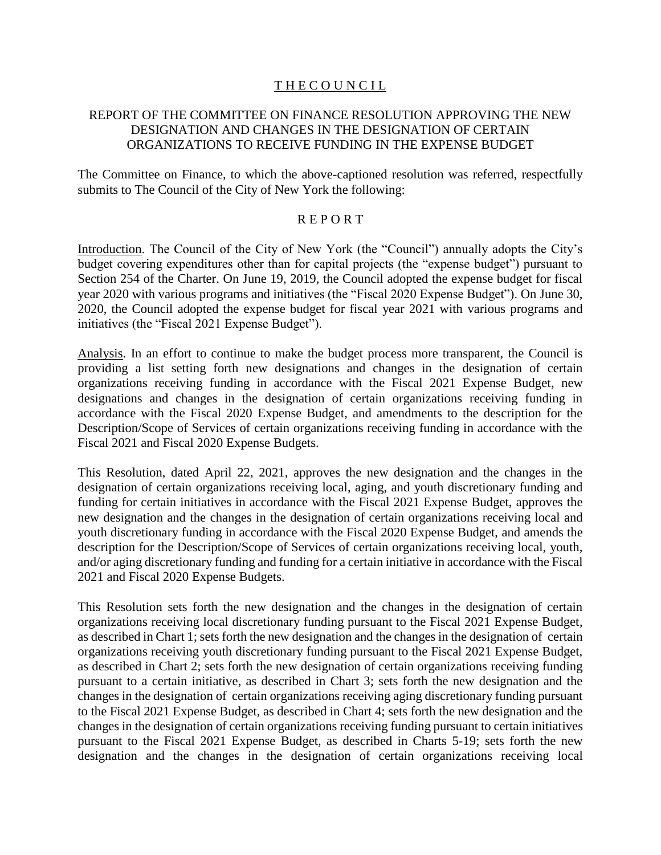# **THE COUNCIL**

# REPORT OF THE COMMITTEE ON FINANCE RESOLUTION APPROVING THE NEW DESIGNATION AND CHANGES IN THE DESIGNATION OF CERTAIN ORGANIZATIONS TO RECEIVE FUNDING IN THE EXPENSE BUDGET

The Committee on Finance, to which the above-captioned resolution was referred, respectfully submits to The Council of the City of New York the following:

## R E P O R T

Introduction. The Council of the City of New York (the "Council") annually adopts the City's budget covering expenditures other than for capital projects (the "expense budget") pursuant to Section 254 of the Charter. On June 19, 2019, the Council adopted the expense budget for fiscal year 2020 with various programs and initiatives (the "Fiscal 2020 Expense Budget"). On June 30, 2020, the Council adopted the expense budget for fiscal year 2021 with various programs and initiatives (the "Fiscal 2021 Expense Budget").

Analysis. In an effort to continue to make the budget process more transparent, the Council is providing a list setting forth new designations and changes in the designation of certain organizations receiving funding in accordance with the Fiscal 2021 Expense Budget, new designations and changes in the designation of certain organizations receiving funding in accordance with the Fiscal 2020 Expense Budget, and amendments to the description for the Description/Scope of Services of certain organizations receiving funding in accordance with the Fiscal 2021 and Fiscal 2020 Expense Budgets.

This Resolution, dated April 22, 2021, approves the new designation and the changes in the designation of certain organizations receiving local, aging, and youth discretionary funding and funding for certain initiatives in accordance with the Fiscal 2021 Expense Budget, approves the new designation and the changes in the designation of certain organizations receiving local and youth discretionary funding in accordance with the Fiscal 2020 Expense Budget, and amends the description for the Description/Scope of Services of certain organizations receiving local, youth, and/or aging discretionary funding and funding for a certain initiative in accordance with the Fiscal 2021 and Fiscal 2020 Expense Budgets.

This Resolution sets forth the new designation and the changes in the designation of certain organizations receiving local discretionary funding pursuant to the Fiscal 2021 Expense Budget, as described in Chart 1; sets forth the new designation and the changes in the designation of certain organizations receiving youth discretionary funding pursuant to the Fiscal 2021 Expense Budget, as described in Chart 2; sets forth the new designation of certain organizations receiving funding pursuant to a certain initiative, as described in Chart 3; sets forth the new designation and the changes in the designation of certain organizations receiving aging discretionary funding pursuant to the Fiscal 2021 Expense Budget, as described in Chart 4; sets forth the new designation and the changes in the designation of certain organizations receiving funding pursuant to certain initiatives pursuant to the Fiscal 2021 Expense Budget, as described in Charts 5-19; sets forth the new designation and the changes in the designation of certain organizations receiving local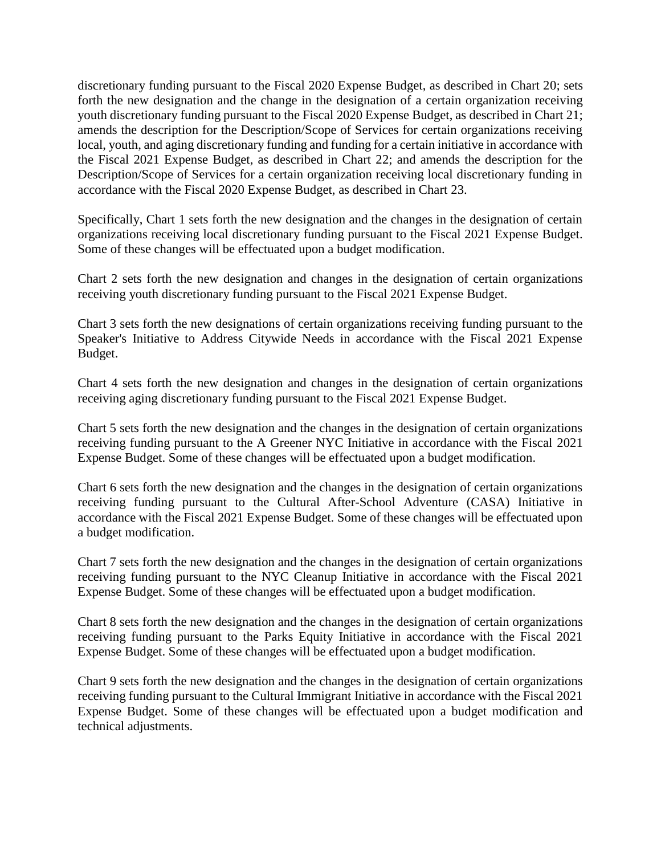discretionary funding pursuant to the Fiscal 2020 Expense Budget, as described in Chart 20; sets forth the new designation and the change in the designation of a certain organization receiving youth discretionary funding pursuant to the Fiscal 2020 Expense Budget, as described in Chart 21; amends the description for the Description/Scope of Services for certain organizations receiving local, youth, and aging discretionary funding and funding for a certain initiative in accordance with the Fiscal 2021 Expense Budget, as described in Chart 22; and amends the description for the Description/Scope of Services for a certain organization receiving local discretionary funding in accordance with the Fiscal 2020 Expense Budget, as described in Chart 23.

Specifically, Chart 1 sets forth the new designation and the changes in the designation of certain organizations receiving local discretionary funding pursuant to the Fiscal 2021 Expense Budget. Some of these changes will be effectuated upon a budget modification.

Chart 2 sets forth the new designation and changes in the designation of certain organizations receiving youth discretionary funding pursuant to the Fiscal 2021 Expense Budget.

Chart 3 sets forth the new designations of certain organizations receiving funding pursuant to the Speaker's Initiative to Address Citywide Needs in accordance with the Fiscal 2021 Expense Budget.

Chart 4 sets forth the new designation and changes in the designation of certain organizations receiving aging discretionary funding pursuant to the Fiscal 2021 Expense Budget.

Chart 5 sets forth the new designation and the changes in the designation of certain organizations receiving funding pursuant to the A Greener NYC Initiative in accordance with the Fiscal 2021 Expense Budget. Some of these changes will be effectuated upon a budget modification.

Chart 6 sets forth the new designation and the changes in the designation of certain organizations receiving funding pursuant to the Cultural After-School Adventure (CASA) Initiative in accordance with the Fiscal 2021 Expense Budget. Some of these changes will be effectuated upon a budget modification.

Chart 7 sets forth the new designation and the changes in the designation of certain organizations receiving funding pursuant to the NYC Cleanup Initiative in accordance with the Fiscal 2021 Expense Budget. Some of these changes will be effectuated upon a budget modification.

Chart 8 sets forth the new designation and the changes in the designation of certain organizations receiving funding pursuant to the Parks Equity Initiative in accordance with the Fiscal 2021 Expense Budget. Some of these changes will be effectuated upon a budget modification.

Chart 9 sets forth the new designation and the changes in the designation of certain organizations receiving funding pursuant to the Cultural Immigrant Initiative in accordance with the Fiscal 2021 Expense Budget. Some of these changes will be effectuated upon a budget modification and technical adjustments.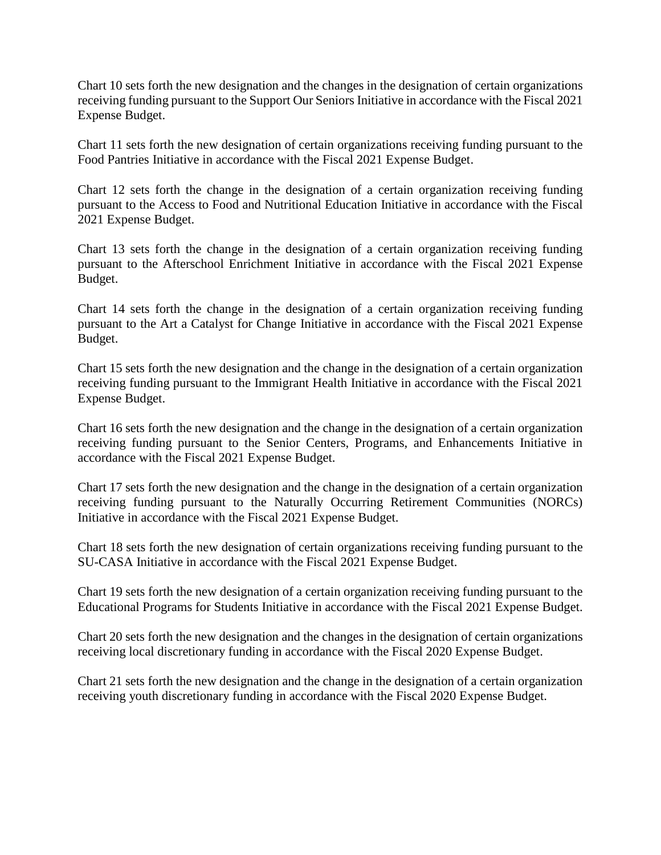Chart 10 sets forth the new designation and the changes in the designation of certain organizations receiving funding pursuant to the Support Our Seniors Initiative in accordance with the Fiscal 2021 Expense Budget.

Chart 11 sets forth the new designation of certain organizations receiving funding pursuant to the Food Pantries Initiative in accordance with the Fiscal 2021 Expense Budget.

Chart 12 sets forth the change in the designation of a certain organization receiving funding pursuant to the Access to Food and Nutritional Education Initiative in accordance with the Fiscal 2021 Expense Budget.

Chart 13 sets forth the change in the designation of a certain organization receiving funding pursuant to the Afterschool Enrichment Initiative in accordance with the Fiscal 2021 Expense Budget.

Chart 14 sets forth the change in the designation of a certain organization receiving funding pursuant to the Art a Catalyst for Change Initiative in accordance with the Fiscal 2021 Expense Budget.

Chart 15 sets forth the new designation and the change in the designation of a certain organization receiving funding pursuant to the Immigrant Health Initiative in accordance with the Fiscal 2021 Expense Budget.

Chart 16 sets forth the new designation and the change in the designation of a certain organization receiving funding pursuant to the Senior Centers, Programs, and Enhancements Initiative in accordance with the Fiscal 2021 Expense Budget.

Chart 17 sets forth the new designation and the change in the designation of a certain organization receiving funding pursuant to the Naturally Occurring Retirement Communities (NORCs) Initiative in accordance with the Fiscal 2021 Expense Budget.

Chart 18 sets forth the new designation of certain organizations receiving funding pursuant to the SU-CASA Initiative in accordance with the Fiscal 2021 Expense Budget.

Chart 19 sets forth the new designation of a certain organization receiving funding pursuant to the Educational Programs for Students Initiative in accordance with the Fiscal 2021 Expense Budget.

Chart 20 sets forth the new designation and the changes in the designation of certain organizations receiving local discretionary funding in accordance with the Fiscal 2020 Expense Budget.

Chart 21 sets forth the new designation and the change in the designation of a certain organization receiving youth discretionary funding in accordance with the Fiscal 2020 Expense Budget.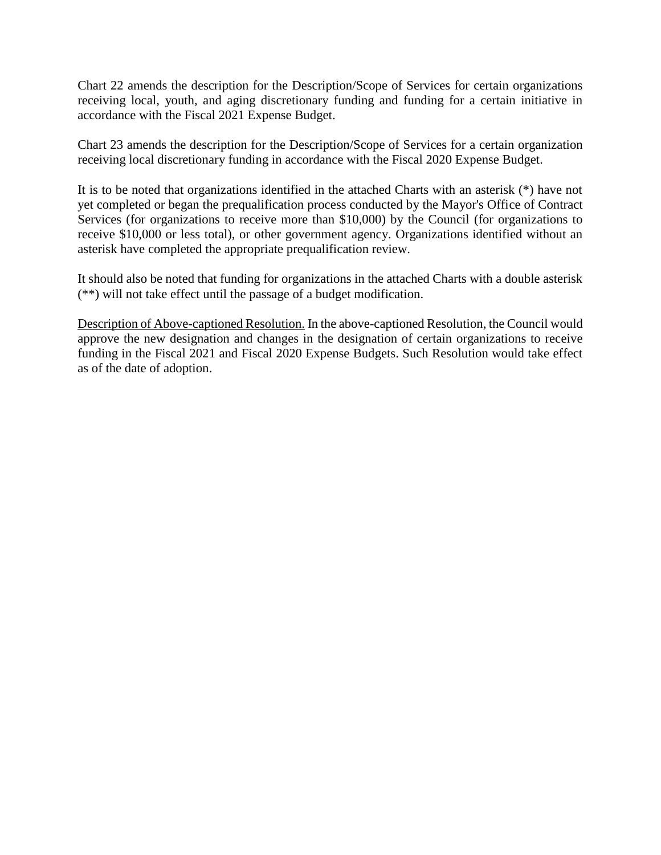Chart 22 amends the description for the Description/Scope of Services for certain organizations receiving local, youth, and aging discretionary funding and funding for a certain initiative in accordance with the Fiscal 2021 Expense Budget.

Chart 23 amends the description for the Description/Scope of Services for a certain organization receiving local discretionary funding in accordance with the Fiscal 2020 Expense Budget.

It is to be noted that organizations identified in the attached Charts with an asterisk (\*) have not yet completed or began the prequalification process conducted by the Mayor's Office of Contract Services (for organizations to receive more than \$10,000) by the Council (for organizations to receive \$10,000 or less total), or other government agency. Organizations identified without an asterisk have completed the appropriate prequalification review.

It should also be noted that funding for organizations in the attached Charts with a double asterisk (\*\*) will not take effect until the passage of a budget modification.

Description of Above-captioned Resolution. In the above-captioned Resolution, the Council would approve the new designation and changes in the designation of certain organizations to receive funding in the Fiscal 2021 and Fiscal 2020 Expense Budgets. Such Resolution would take effect as of the date of adoption.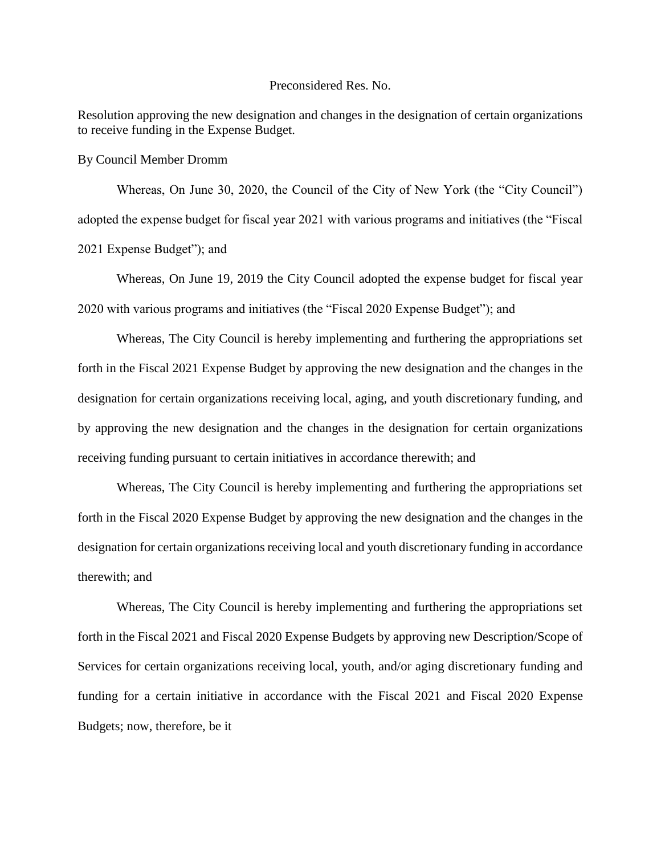### Preconsidered Res. No.

Resolution approving the new designation and changes in the designation of certain organizations to receive funding in the Expense Budget.

By Council Member Dromm

Whereas, On June 30, 2020, the Council of the City of New York (the "City Council") adopted the expense budget for fiscal year 2021 with various programs and initiatives (the "Fiscal 2021 Expense Budget"); and

Whereas, On June 19, 2019 the City Council adopted the expense budget for fiscal year 2020 with various programs and initiatives (the "Fiscal 2020 Expense Budget"); and

Whereas, The City Council is hereby implementing and furthering the appropriations set forth in the Fiscal 2021 Expense Budget by approving the new designation and the changes in the designation for certain organizations receiving local, aging, and youth discretionary funding, and by approving the new designation and the changes in the designation for certain organizations receiving funding pursuant to certain initiatives in accordance therewith; and

Whereas, The City Council is hereby implementing and furthering the appropriations set forth in the Fiscal 2020 Expense Budget by approving the new designation and the changes in the designation for certain organizations receiving local and youth discretionary funding in accordance therewith; and

Whereas, The City Council is hereby implementing and furthering the appropriations set forth in the Fiscal 2021 and Fiscal 2020 Expense Budgets by approving new Description/Scope of Services for certain organizations receiving local, youth, and/or aging discretionary funding and funding for a certain initiative in accordance with the Fiscal 2021 and Fiscal 2020 Expense Budgets; now, therefore, be it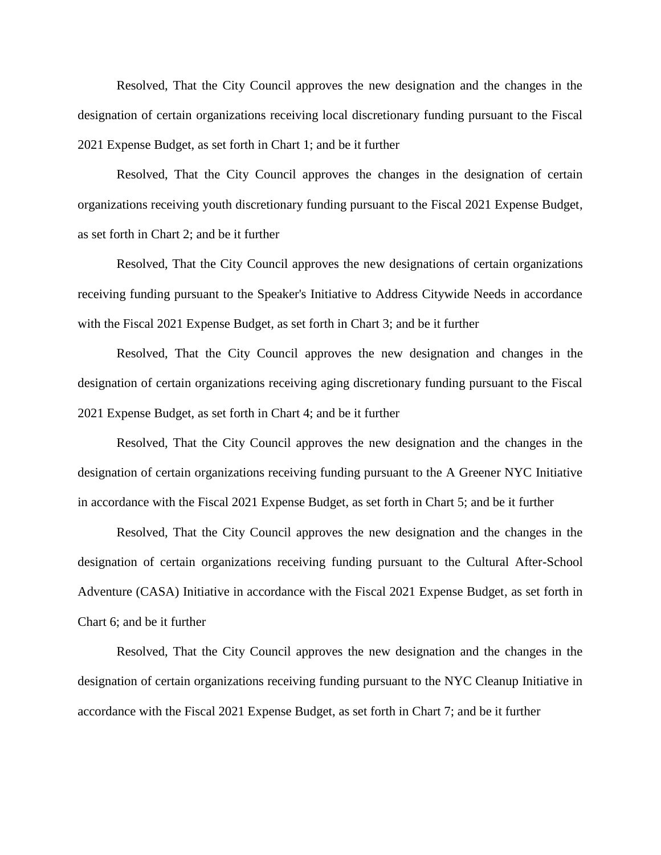Resolved, That the City Council approves the new designation and the changes in the designation of certain organizations receiving local discretionary funding pursuant to the Fiscal 2021 Expense Budget, as set forth in Chart 1; and be it further

Resolved, That the City Council approves the changes in the designation of certain organizations receiving youth discretionary funding pursuant to the Fiscal 2021 Expense Budget, as set forth in Chart 2; and be it further

Resolved, That the City Council approves the new designations of certain organizations receiving funding pursuant to the Speaker's Initiative to Address Citywide Needs in accordance with the Fiscal 2021 Expense Budget, as set forth in Chart 3; and be it further

Resolved, That the City Council approves the new designation and changes in the designation of certain organizations receiving aging discretionary funding pursuant to the Fiscal 2021 Expense Budget, as set forth in Chart 4; and be it further

Resolved, That the City Council approves the new designation and the changes in the designation of certain organizations receiving funding pursuant to the A Greener NYC Initiative in accordance with the Fiscal 2021 Expense Budget, as set forth in Chart 5; and be it further

Resolved, That the City Council approves the new designation and the changes in the designation of certain organizations receiving funding pursuant to the Cultural After-School Adventure (CASA) Initiative in accordance with the Fiscal 2021 Expense Budget, as set forth in Chart 6; and be it further

Resolved, That the City Council approves the new designation and the changes in the designation of certain organizations receiving funding pursuant to the NYC Cleanup Initiative in accordance with the Fiscal 2021 Expense Budget, as set forth in Chart 7; and be it further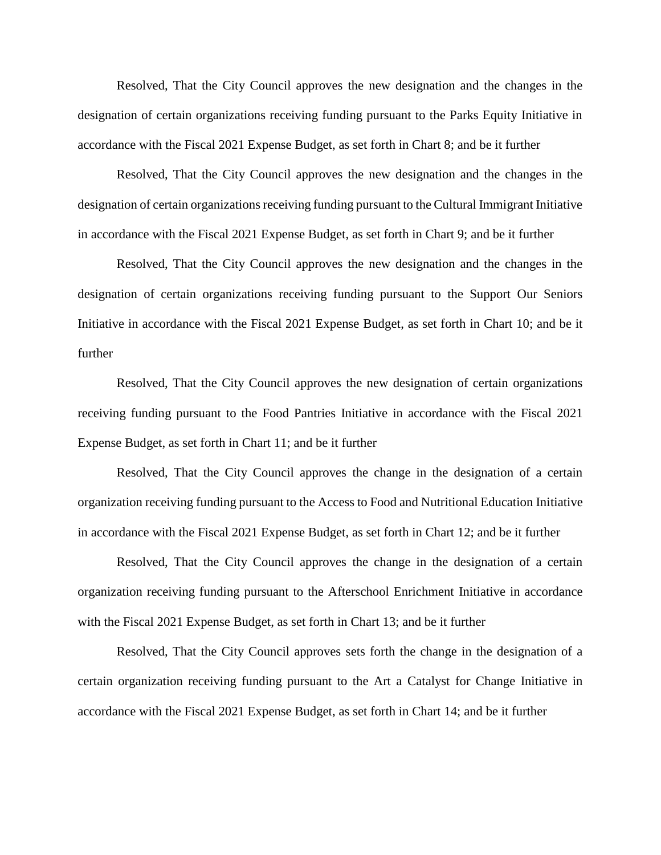Resolved, That the City Council approves the new designation and the changes in the designation of certain organizations receiving funding pursuant to the Parks Equity Initiative in accordance with the Fiscal 2021 Expense Budget, as set forth in Chart 8; and be it further

Resolved, That the City Council approves the new designation and the changes in the designation of certain organizations receiving funding pursuant to the Cultural Immigrant Initiative in accordance with the Fiscal 2021 Expense Budget, as set forth in Chart 9; and be it further

Resolved, That the City Council approves the new designation and the changes in the designation of certain organizations receiving funding pursuant to the Support Our Seniors Initiative in accordance with the Fiscal 2021 Expense Budget, as set forth in Chart 10; and be it further

Resolved, That the City Council approves the new designation of certain organizations receiving funding pursuant to the Food Pantries Initiative in accordance with the Fiscal 2021 Expense Budget, as set forth in Chart 11; and be it further

Resolved, That the City Council approves the change in the designation of a certain organization receiving funding pursuant to the Access to Food and Nutritional Education Initiative in accordance with the Fiscal 2021 Expense Budget, as set forth in Chart 12; and be it further

Resolved, That the City Council approves the change in the designation of a certain organization receiving funding pursuant to the Afterschool Enrichment Initiative in accordance with the Fiscal 2021 Expense Budget, as set forth in Chart 13; and be it further

Resolved, That the City Council approves sets forth the change in the designation of a certain organization receiving funding pursuant to the Art a Catalyst for Change Initiative in accordance with the Fiscal 2021 Expense Budget, as set forth in Chart 14; and be it further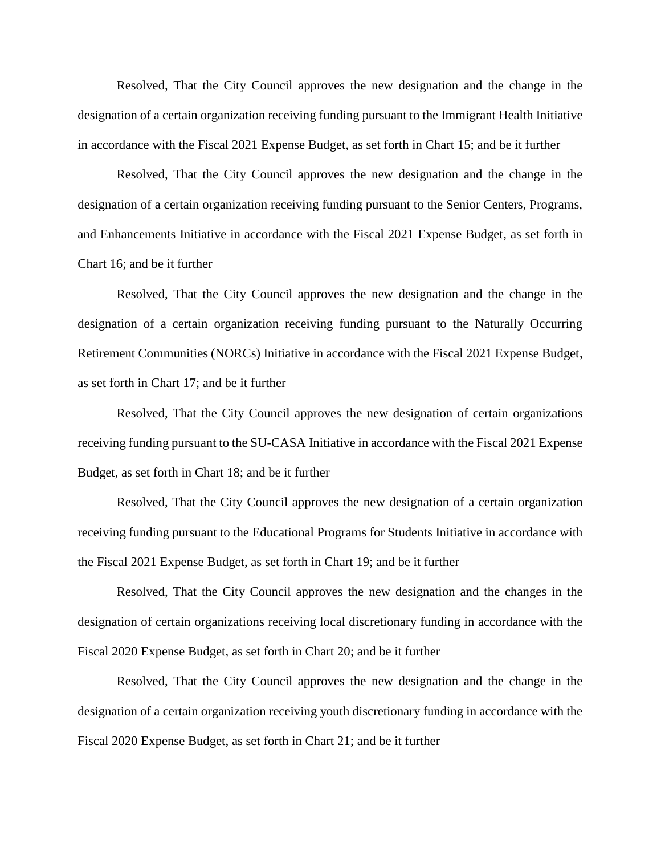Resolved, That the City Council approves the new designation and the change in the designation of a certain organization receiving funding pursuant to the Immigrant Health Initiative in accordance with the Fiscal 2021 Expense Budget, as set forth in Chart 15; and be it further

Resolved, That the City Council approves the new designation and the change in the designation of a certain organization receiving funding pursuant to the Senior Centers, Programs, and Enhancements Initiative in accordance with the Fiscal 2021 Expense Budget, as set forth in Chart 16; and be it further

Resolved, That the City Council approves the new designation and the change in the designation of a certain organization receiving funding pursuant to the Naturally Occurring Retirement Communities (NORCs) Initiative in accordance with the Fiscal 2021 Expense Budget, as set forth in Chart 17; and be it further

Resolved, That the City Council approves the new designation of certain organizations receiving funding pursuant to the SU-CASA Initiative in accordance with the Fiscal 2021 Expense Budget, as set forth in Chart 18; and be it further

Resolved, That the City Council approves the new designation of a certain organization receiving funding pursuant to the Educational Programs for Students Initiative in accordance with the Fiscal 2021 Expense Budget, as set forth in Chart 19; and be it further

Resolved, That the City Council approves the new designation and the changes in the designation of certain organizations receiving local discretionary funding in accordance with the Fiscal 2020 Expense Budget, as set forth in Chart 20; and be it further

Resolved, That the City Council approves the new designation and the change in the designation of a certain organization receiving youth discretionary funding in accordance with the Fiscal 2020 Expense Budget, as set forth in Chart 21; and be it further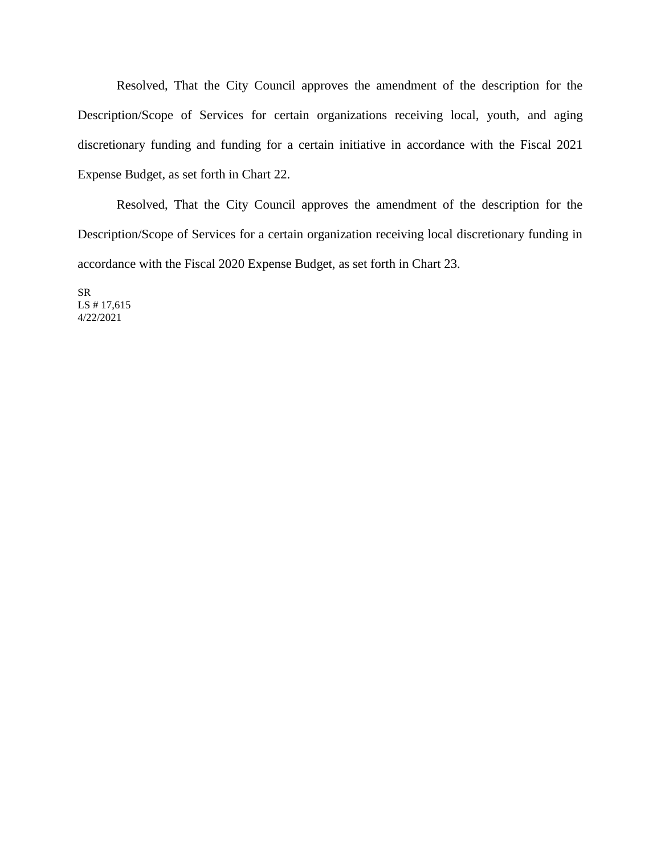Resolved, That the City Council approves the amendment of the description for the Description/Scope of Services for certain organizations receiving local, youth, and aging discretionary funding and funding for a certain initiative in accordance with the Fiscal 2021 Expense Budget, as set forth in Chart 22.

Resolved, That the City Council approves the amendment of the description for the Description/Scope of Services for a certain organization receiving local discretionary funding in accordance with the Fiscal 2020 Expense Budget, as set forth in Chart 23.

SR LS # 17,615 4/22/2021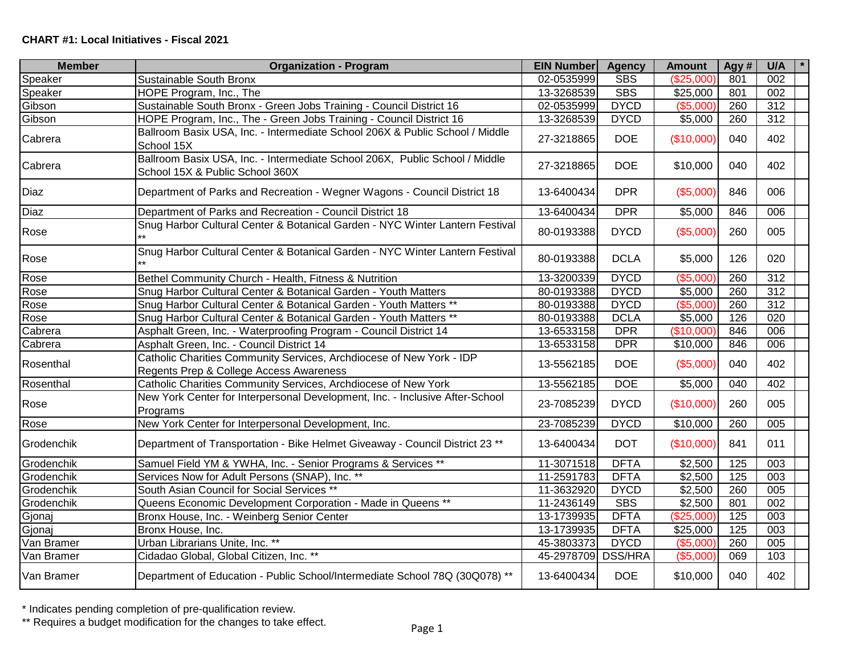| <b>Member</b> | <b>Organization - Program</b>                                                                                   | <b>EIN Number</b>  | <b>Agency</b> | <b>Amount</b> | Agy #            | U/A |
|---------------|-----------------------------------------------------------------------------------------------------------------|--------------------|---------------|---------------|------------------|-----|
| Speaker       | <b>Sustainable South Bronx</b>                                                                                  | 02-0535999         | <b>SBS</b>    | (\$25,000     | 801              | 002 |
| Speaker       | HOPE Program, Inc., The                                                                                         | 13-3268539         | <b>SBS</b>    | \$25,000      | 801              | 002 |
| Gibson        | Sustainable South Bronx - Green Jobs Training - Council District 16                                             | 02-0535999         | <b>DYCD</b>   | (\$5,000      | 260              | 312 |
| Gibson        | HOPE Program, Inc., The - Green Jobs Training - Council District 16                                             | 13-3268539         | <b>DYCD</b>   | \$5,000       | 260              | 312 |
| Cabrera       | Ballroom Basix USA, Inc. - Intermediate School 206X & Public School / Middle<br>School 15X                      | 27-3218865         | <b>DOE</b>    | (\$10,000)    | 040              | 402 |
| Cabrera       | Ballroom Basix USA, Inc. - Intermediate School 206X, Public School / Middle<br>School 15X & Public School 360X  | 27-3218865         | <b>DOE</b>    | \$10,000      | 040              | 402 |
| Diaz          | Department of Parks and Recreation - Wegner Wagons - Council District 18                                        | 13-6400434         | <b>DPR</b>    | (\$5,000)     | 846              | 006 |
| Diaz          | Department of Parks and Recreation - Council District 18                                                        | 13-6400434         | <b>DPR</b>    | \$5,000       | 846              | 006 |
| Rose          | Snug Harbor Cultural Center & Botanical Garden - NYC Winter Lantern Festival                                    | 80-0193388         | <b>DYCD</b>   | (\$5,000)     | 260              | 005 |
| Rose          | Snug Harbor Cultural Center & Botanical Garden - NYC Winter Lantern Festival                                    | 80-0193388         | <b>DCLA</b>   | \$5,000       | 126              | 020 |
| Rose          | Bethel Community Church - Health, Fitness & Nutrition                                                           | 13-3200339         | <b>DYCD</b>   | (\$5,000)     | 260              | 312 |
| Rose          | Snug Harbor Cultural Center & Botanical Garden - Youth Matters                                                  | 80-0193388         | <b>DYCD</b>   | \$5,000       | 260              | 312 |
| Rose          | Snug Harbor Cultural Center & Botanical Garden - Youth Matters **                                               | 80-0193388         | <b>DYCD</b>   | (\$5,000)     | 260              | 312 |
| Rose          | Snug Harbor Cultural Center & Botanical Garden - Youth Matters **                                               | 80-0193388         | <b>DCLA</b>   | \$5,000       | 126              | 020 |
| Cabrera       | Asphalt Green, Inc. - Waterproofing Program - Council District 14                                               | 13-6533158         | <b>DPR</b>    | (\$10,000)    | 846              | 006 |
| Cabrera       | Asphalt Green, Inc. - Council District 14                                                                       | 13-6533158         | <b>DPR</b>    | \$10,000      | 846              | 006 |
| Rosenthal     | Catholic Charities Community Services, Archdiocese of New York - IDP<br>Regents Prep & College Access Awareness | 13-5562185         | <b>DOE</b>    | (\$5,000)     | 040              | 402 |
| Rosenthal     | Catholic Charities Community Services, Archdiocese of New York                                                  | 13-5562185         | <b>DOE</b>    | \$5,000       | 040              | 402 |
| Rose          | New York Center for Interpersonal Development, Inc. - Inclusive After-School<br>Programs                        | 23-7085239         | <b>DYCD</b>   | (\$10,000)    | 260              | 005 |
| Rose          | New York Center for Interpersonal Development, Inc.                                                             | 23-7085239         | <b>DYCD</b>   | \$10,000      | 260              | 005 |
| Grodenchik    | Department of Transportation - Bike Helmet Giveaway - Council District 23 **                                    | 13-6400434         | <b>DOT</b>    | (\$10,000)    | 841              | 011 |
| Grodenchik    | Samuel Field YM & YWHA, Inc. - Senior Programs & Services **                                                    | 11-3071518         | <b>DFTA</b>   | \$2,500       | 125              | 003 |
| Grodenchik    | Services Now for Adult Persons (SNAP), Inc. **                                                                  | 11-2591783         | <b>DFTA</b>   | \$2,500       | $\overline{125}$ | 003 |
| Grodenchik    | South Asian Council for Social Services **                                                                      | 11-3632920         | <b>DYCD</b>   | \$2,500       | 260              | 005 |
| Grodenchik    | Queens Economic Development Corporation - Made in Queens **                                                     | 11-2436149         | <b>SBS</b>    | \$2,500       | 801              | 002 |
| Gjonaj        | Bronx House, Inc. - Weinberg Senior Center                                                                      | 13-1739935         | <b>DFTA</b>   | (\$25,000"    | 125              | 003 |
| Gjonaj        | Bronx House, Inc.                                                                                               | 13-1739935         | <b>DFTA</b>   | \$25,000      | $\overline{125}$ | 003 |
| Van Bramer    | Urban Librarians Unite, Inc. **                                                                                 | 45-3803373         | <b>DYCD</b>   | (\$5,000)     | 260              | 005 |
| Van Bramer    | Cidadao Global, Global Citizen, Inc. **                                                                         | 45-2978709 DSS/HRA |               | (\$5,000)     | 069              | 103 |
| Van Bramer    | Department of Education - Public School/Intermediate School 78Q (30Q078) **                                     | 13-6400434         | <b>DOE</b>    | \$10,000      | 040              | 402 |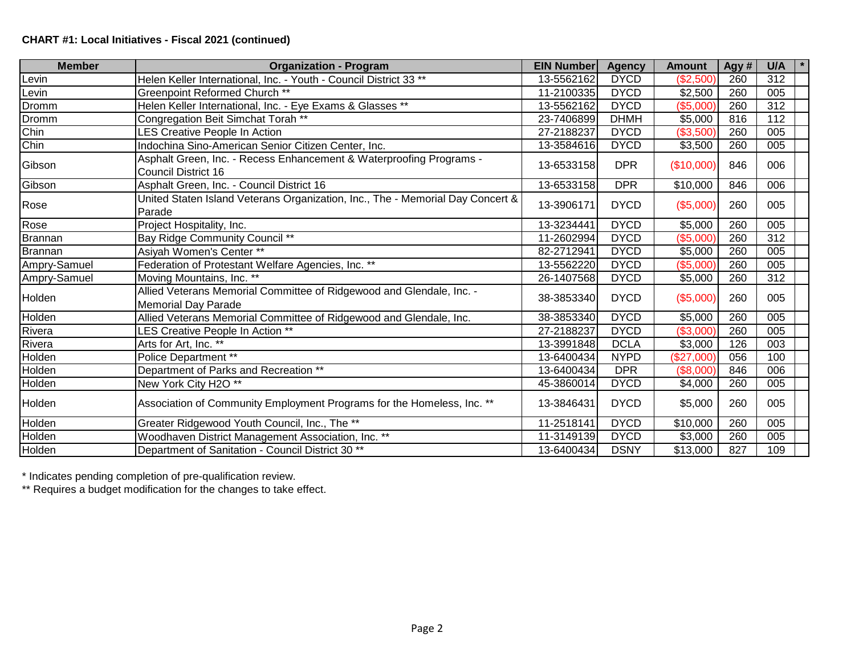| <b>Member</b> | <b>Organization - Program</b>                                                               | <b>EIN Number</b> | <b>Agency</b> | <b>Amount</b> | Agy # | U/A<br>$\star$   |
|---------------|---------------------------------------------------------------------------------------------|-------------------|---------------|---------------|-------|------------------|
| Levin         | Helen Keller International, Inc. - Youth - Council District 33 **                           | 13-5562162        | <b>DYCD</b>   | (\$2,500)     | 260   | 312              |
| Levin         | <b>Greenpoint Reformed Church **</b>                                                        | 11-2100335        | <b>DYCD</b>   | \$2,500       | 260   | 005              |
| Dromm         | Helen Keller International, Inc. - Eye Exams & Glasses **                                   | 13-5562162        | <b>DYCD</b>   | (\$5,000)     | 260   | $\overline{312}$ |
| Dromm         | Congregation Beit Simchat Torah **                                                          | 23-7406899        | <b>DHMH</b>   | \$5,000       | 816   | 112              |
| Chin          | <b>LES Creative People In Action</b>                                                        | 27-2188237        | <b>DYCD</b>   | (\$3,500)     | 260   | 005              |
| Chin          | Indochina Sino-American Senior Citizen Center, Inc.                                         | 13-3584616        | <b>DYCD</b>   | \$3,500       | 260   | 005              |
| Gibson        | Asphalt Green, Inc. - Recess Enhancement & Waterproofing Programs -<br>Council District 16  | 13-6533158        | <b>DPR</b>    | (\$10,000)    | 846   | 006              |
| Gibson        | Asphalt Green, Inc. - Council District 16                                                   | 13-6533158        | <b>DPR</b>    | \$10,000      | 846   | 006              |
| Rose          | United Staten Island Veterans Organization, Inc., The - Memorial Day Concert &<br>Parade    | 13-3906171        | <b>DYCD</b>   | (\$5,000)     | 260   | 005              |
| Rose          | Project Hospitality, Inc.                                                                   | 13-3234441        | <b>DYCD</b>   | \$5,000       | 260   | 005              |
| Brannan       | Bay Ridge Community Council **                                                              | 11-2602994        | <b>DYCD</b>   | (\$5,000)     | 260   | $\overline{312}$ |
| Brannan       | Asiyah Women's Center **                                                                    | 82-2712941        | <b>DYCD</b>   | \$5,000       | 260   | 005              |
| Ampry-Samuel  | Federation of Protestant Welfare Agencies, Inc. **                                          | 13-5562220        | <b>DYCD</b>   | (\$5,000)     | 260   | 005              |
| Ampry-Samuel  | Moving Mountains, Inc. **                                                                   | 26-1407568        | <b>DYCD</b>   | \$5,000       | 260   | 312              |
| Holden        | Allied Veterans Memorial Committee of Ridgewood and Glendale, Inc. -<br>Memorial Day Parade | 38-3853340        | <b>DYCD</b>   | (\$5,000)     | 260   | 005              |
| Holden        | Allied Veterans Memorial Committee of Ridgewood and Glendale, Inc.                          | 38-3853340        | <b>DYCD</b>   | \$5,000       | 260   | 005              |
| Rivera        | LES Creative People In Action **                                                            | 27-2188237        | <b>DYCD</b>   | (\$3,000)     | 260   | 005              |
| Rivera        | Arts for Art, Inc. **                                                                       | 13-3991848        | <b>DCLA</b>   | \$3,000       | 126   | 003              |
| Holden        | Police Department **                                                                        | 13-6400434        | <b>NYPD</b>   | (\$27,000)    | 056   | 100              |
| Holden        | Department of Parks and Recreation **                                                       | 13-6400434        | <b>DPR</b>    | (\$8,000)     | 846   | 006              |
| Holden        | New York City H2O **                                                                        | 45-3860014        | <b>DYCD</b>   | \$4,000       | 260   | 005              |
| Holden        | Association of Community Employment Programs for the Homeless, Inc. **                      | 13-3846431        | <b>DYCD</b>   | \$5,000       | 260   | 005              |
| Holden        | Greater Ridgewood Youth Council, Inc., The **                                               | 11-2518141        | <b>DYCD</b>   | \$10,000      | 260   | 005              |
| Holden        | Woodhaven District Management Association, Inc. **                                          | 11-3149139        | <b>DYCD</b>   | \$3,000       | 260   | 005              |
| Holden        | Department of Sanitation - Council District 30 **                                           | 13-6400434        | <b>DSNY</b>   | \$13,000      | 827   | 109              |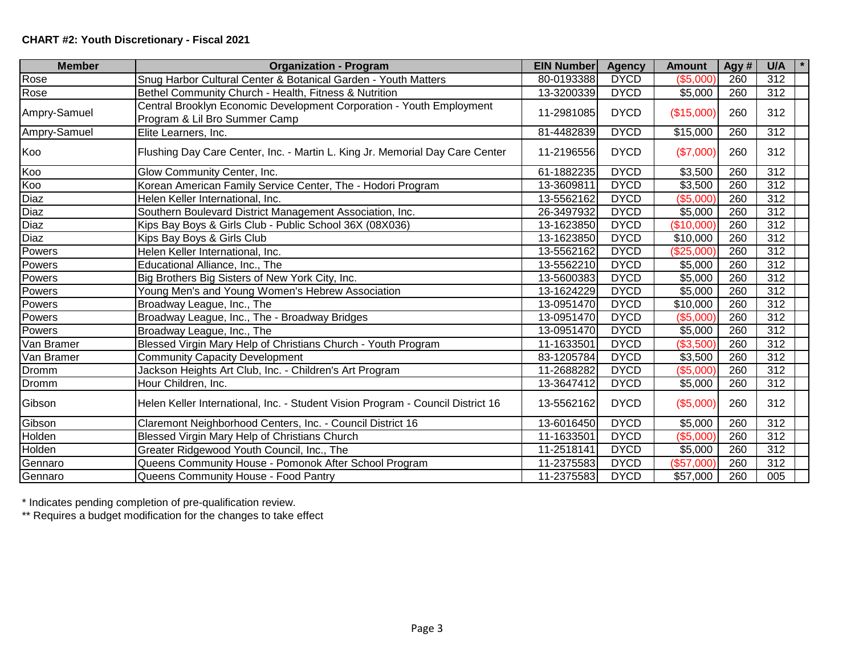| <b>Member</b> | <b>Organization - Program</b>                                                                         | <b>EIN Number</b> | <b>Agency</b> | <b>Amount</b> | Agy # | U/A              |
|---------------|-------------------------------------------------------------------------------------------------------|-------------------|---------------|---------------|-------|------------------|
| Rose          | Snug Harbor Cultural Center & Botanical Garden - Youth Matters                                        | 80-0193388        | <b>DYCD</b>   | (\$5,000)     | 260   | 312              |
| Rose          | Bethel Community Church - Health, Fitness & Nutrition                                                 | 13-3200339        | <b>DYCD</b>   | \$5,000       | 260   | 312              |
| Ampry-Samuel  | Central Brooklyn Economic Development Corporation - Youth Employment<br>Program & Lil Bro Summer Camp | 11-2981085        | <b>DYCD</b>   | (\$15,000)    | 260   | 312              |
| Ampry-Samuel  | Elite Learners, Inc.                                                                                  | 81-4482839        | <b>DYCD</b>   | \$15,000      | 260   | 312              |
| Koo           | Flushing Day Care Center, Inc. - Martin L. King Jr. Memorial Day Care Center                          | 11-2196556        | <b>DYCD</b>   | (\$7,000)     | 260   | 312              |
| Koo           | Glow Community Center, Inc.                                                                           | 61-1882235        | <b>DYCD</b>   | \$3,500       | 260   | 312              |
| Koo           | Korean American Family Service Center, The - Hodori Program                                           | 13-3609811        | <b>DYCD</b>   | \$3,500       | 260   | 312              |
| Diaz          | Helen Keller International, Inc.                                                                      | 13-5562162        | <b>DYCD</b>   | (\$5,000)     | 260   | 312              |
| Diaz          | Southern Boulevard District Management Association, Inc.                                              | 26-3497932        | <b>DYCD</b>   | \$5,000       | 260   | 312              |
| Diaz          | Kips Bay Boys & Girls Club - Public School 36X (08X036)                                               | 13-1623850        | <b>DYCD</b>   | (\$10,000)    | 260   | $\overline{312}$ |
| Diaz          | Kips Bay Boys & Girls Club                                                                            | 13-1623850        | <b>DYCD</b>   | \$10,000      | 260   | 312              |
| Powers        | Helen Keller International, Inc.                                                                      | 13-5562162        | <b>DYCD</b>   | (\$25,000)    | 260   | 312              |
| Powers        | Educational Alliance, Inc., The                                                                       | 13-5562210        | <b>DYCD</b>   | \$5,000       | 260   | 312              |
| Powers        | Big Brothers Big Sisters of New York City, Inc.                                                       | 13-5600383        | <b>DYCD</b>   | \$5,000       | 260   | $\overline{312}$ |
| Powers        | Young Men's and Young Women's Hebrew Association                                                      | 13-1624229        | <b>DYCD</b>   | \$5,000       | 260   | $\overline{312}$ |
| Powers        | Broadway League, Inc., The                                                                            | 13-0951470        | <b>DYCD</b>   | \$10,000      | 260   | $\overline{312}$ |
| Powers        | Broadway League, Inc., The - Broadway Bridges                                                         | 13-0951470        | <b>DYCD</b>   | (\$5,000)     | 260   | 312              |
| Powers        | Broadway League, Inc., The                                                                            | 13-0951470        | <b>DYCD</b>   | \$5,000       | 260   | $\overline{312}$ |
| Van Bramer    | Blessed Virgin Mary Help of Christians Church - Youth Program                                         | 11-1633501        | <b>DYCD</b>   | (\$3,500)     | 260   | $\overline{312}$ |
| Van Bramer    | <b>Community Capacity Development</b>                                                                 | 83-1205784        | <b>DYCD</b>   | \$3,500       | 260   | 312              |
| Dromm         | Jackson Heights Art Club, Inc. - Children's Art Program                                               | 11-2688282        | <b>DYCD</b>   | (\$5,000)     | 260   | $\overline{312}$ |
| Dromm         | Hour Children, Inc.                                                                                   | 13-3647412        | <b>DYCD</b>   | \$5,000       | 260   | 312              |
| Gibson        | Helen Keller International, Inc. - Student Vision Program - Council District 16                       | 13-5562162        | <b>DYCD</b>   | (\$5,000)     | 260   | 312              |
| Gibson        | Claremont Neighborhood Centers, Inc. - Council District 16                                            | 13-6016450        | <b>DYCD</b>   | \$5,000       | 260   | $\overline{312}$ |
| Holden        | Blessed Virgin Mary Help of Christians Church                                                         | 11-1633501        | <b>DYCD</b>   | (\$5,000)     | 260   | 312              |
| Holden        | Greater Ridgewood Youth Council, Inc., The                                                            | 11-2518141        | <b>DYCD</b>   | \$5,000       | 260   | 312              |
| Gennaro       | Queens Community House - Pomonok After School Program                                                 | 11-2375583        | <b>DYCD</b>   | (\$57,000)    | 260   | 312              |
| Gennaro       | Queens Community House - Food Pantry                                                                  | 11-2375583        | <b>DYCD</b>   | \$57,000      | 260   | 005              |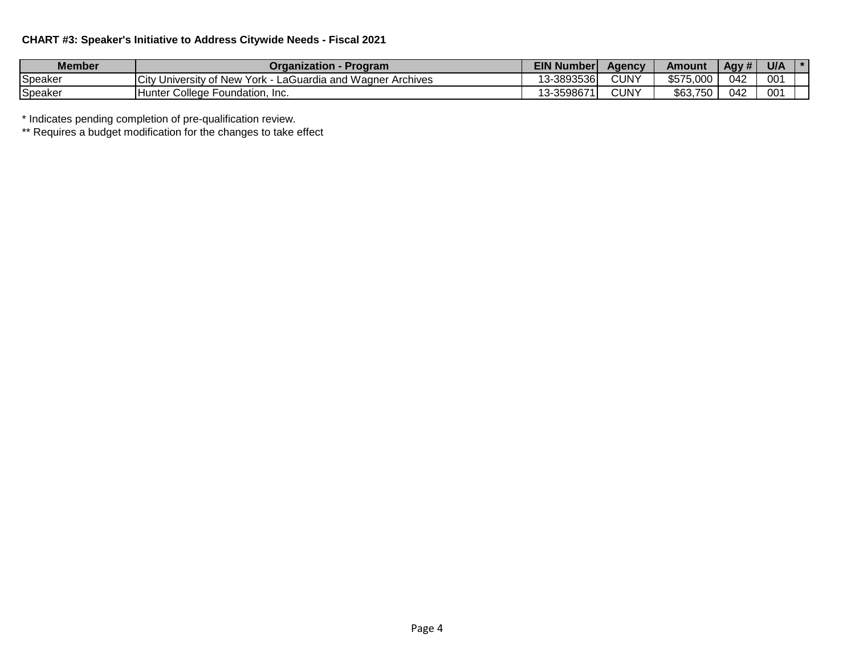## **CHART #3: Speaker's Initiative to Address Citywide Needs - Fiscal 2021**

| Member  | Organization - Program                                                | <b>EIN Number</b> | Aaencv | Amount    | Agy # | U/A |  |
|---------|-----------------------------------------------------------------------|-------------------|--------|-----------|-------|-----|--|
| Speaker | <b>City University of New York -</b><br>LaGuardia and Wagner Archives | 3-3893536         | CUNY   | \$575,000 | 042   | 001 |  |
| Speaker | IHunter College Foundation. Inc.                                      | 3-3598671         | CUNY   | \$63,750  | 042   | 001 |  |

\* Indicates pending completion of pre-qualification review.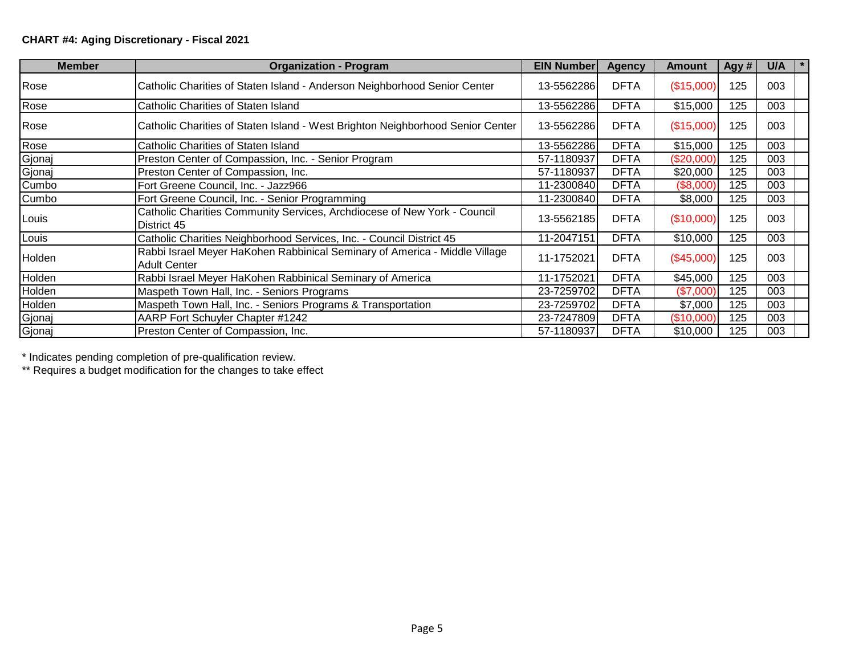| <b>Member</b>   | <b>Organization - Program</b>                                                                     | <b>EIN Number</b> | <b>Agency</b> | <b>Amount</b> | Agy # | U/A<br>$\ast$ |
|-----------------|---------------------------------------------------------------------------------------------------|-------------------|---------------|---------------|-------|---------------|
| Rose            | Catholic Charities of Staten Island - Anderson Neighborhood Senior Center                         | 13-5562286        | <b>DFTA</b>   | (\$15,000)    | 125   | 003           |
| Rose            | Catholic Charities of Staten Island                                                               | 13-5562286        | <b>DFTA</b>   | \$15,000      | 125   | 003           |
| Rose            | Catholic Charities of Staten Island - West Brighton Neighborhood Senior Center                    | 13-5562286        | <b>DFTA</b>   | (\$15,000)    | 125   | 003           |
| Rose            | Catholic Charities of Staten Island                                                               | 13-5562286        | <b>DFTA</b>   | \$15,000      | 125   | 003           |
| Gjonaj          | Preston Center of Compassion, Inc. - Senior Program                                               | 57-1180937        | <b>DFTA</b>   | (\$20,000)    | 125   | 003           |
| Gjonaj          | Preston Center of Compassion, Inc.                                                                | 57-1180937        | <b>DFTA</b>   | \$20,000      | 125   | 003           |
| Cumbo           | Fort Greene Council, Inc. - Jazz966                                                               | 11-2300840        | <b>DFTA</b>   | (\$8,000)     | 125   | 003           |
| Cumbo           | Fort Greene Council, Inc. - Senior Programming                                                    | 11-2300840        | <b>DFTA</b>   | \$8,000       | 125   | 003           |
| Louis           | Catholic Charities Community Services, Archdiocese of New York - Council<br>District 45           | 13-5562185        | <b>DFTA</b>   | (\$10,000)    | 125   | 003           |
| Louis           | Catholic Charities Neighborhood Services, Inc. - Council District 45                              | 11-2047151        | <b>DFTA</b>   | \$10,000      | 125   | 003           |
| <b>I</b> Holden | Rabbi Israel Meyer HaKohen Rabbinical Seminary of America - Middle Village<br><b>Adult Center</b> | 11-1752021        | <b>DFTA</b>   | (\$45,000)    | 125   | 003           |
| Holden          | Rabbi Israel Meyer HaKohen Rabbinical Seminary of America                                         | 11-1752021        | <b>DFTA</b>   | \$45,000      | 125   | 003           |
| Holden          | Maspeth Town Hall, Inc. - Seniors Programs                                                        | 23-7259702        | <b>DFTA</b>   | (\$7,000)     | 125   | 003           |
| Holden          | Maspeth Town Hall, Inc. - Seniors Programs & Transportation                                       | 23-7259702        | <b>DFTA</b>   | \$7,000       | 125   | 003           |
| Gjonaj          | AARP Fort Schuyler Chapter #1242                                                                  | 23-7247809        | <b>DFTA</b>   | (\$10,000)    | 125   | 003           |
| Gjonaj          | Preston Center of Compassion, Inc.                                                                | 57-1180937        | <b>DFTA</b>   | \$10,000      | 125   | 003           |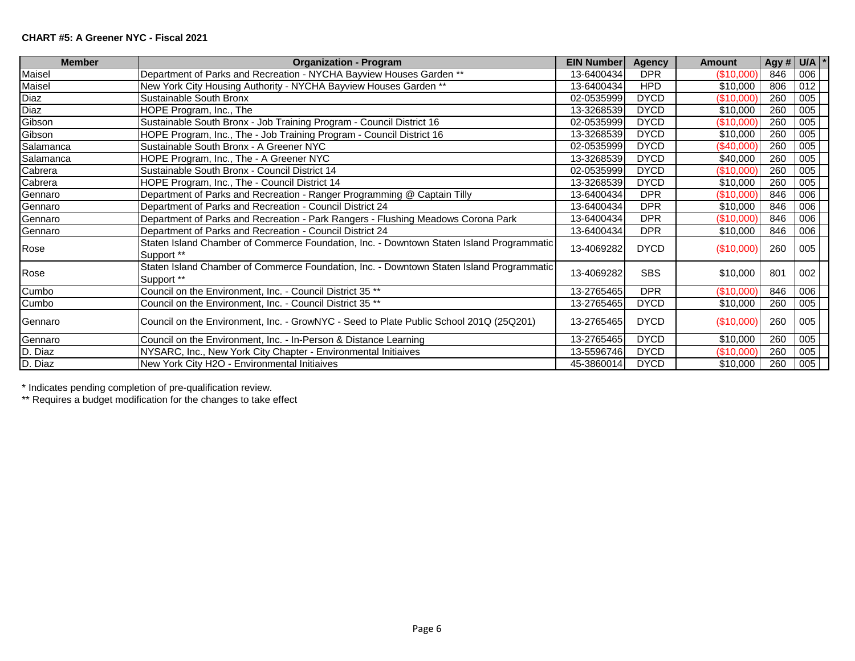| <b>Member</b> | <b>Organization - Program</b>                                                                          | <b>EIN Number</b> | <b>Agency</b> | <b>Amount</b> | Agy # $U/A$ * |     |  |
|---------------|--------------------------------------------------------------------------------------------------------|-------------------|---------------|---------------|---------------|-----|--|
| Maisel        | Department of Parks and Recreation - NYCHA Bayview Houses Garden **                                    | 13-6400434        | <b>DPR</b>    | (\$10,000)    | 846           | 006 |  |
| Maisel        | New York City Housing Authority - NYCHA Bayview Houses Garden **                                       | 13-6400434        | <b>HPD</b>    | \$10,000      | 806           | 012 |  |
| Diaz          | Sustainable South Bronx                                                                                | 02-0535999        | <b>DYCD</b>   | (\$10,000)    | 260           | 005 |  |
| <b>Diaz</b>   | HOPE Program, Inc., The                                                                                | 13-3268539        | <b>DYCD</b>   | \$10,000      | 260           | 005 |  |
| Gibson        | Sustainable South Bronx - Job Training Program - Council District 16                                   | 02-0535999        | <b>DYCD</b>   | $(\$10,000$   | 260           | 005 |  |
| Gibson        | HOPE Program, Inc., The - Job Training Program - Council District 16                                   | 13-3268539        | <b>DYCD</b>   | \$10,000      | 260           | 005 |  |
| Salamanca     | Sustainable South Bronx - A Greener NYC                                                                | 02-0535999        | <b>DYCD</b>   | (\$40,000)    | 260           | 005 |  |
| Salamanca     | HOPE Program, Inc., The - A Greener NYC                                                                | 13-3268539        | <b>DYCD</b>   | \$40,000      | 260           | 005 |  |
| Cabrera       | Sustainable South Bronx - Council District 14                                                          | 02-0535999        | <b>DYCD</b>   | (\$10,000)    | 260           | 005 |  |
| Cabrera       | HOPE Program, Inc., The - Council District 14                                                          | 13-3268539        | <b>DYCD</b>   | \$10,000      | 260           | 005 |  |
| Gennaro       | Department of Parks and Recreation - Ranger Programming @ Captain Tilly                                | 13-6400434        | <b>DPR</b>    | (\$10,000)    | 846           | 006 |  |
| Gennaro       | Department of Parks and Recreation - Council District 24                                               | 13-6400434        | <b>DPR</b>    | \$10,000      | 846           | 006 |  |
| Gennaro       | Department of Parks and Recreation - Park Rangers - Flushing Meadows Corona Park                       | 13-6400434        | <b>DPR</b>    | (\$10,000     | 846           | 006 |  |
| Gennaro       | Department of Parks and Recreation - Council District 24                                               | 13-6400434        | <b>DPR</b>    | \$10,000      | 846           | 006 |  |
| Rose          | Staten Island Chamber of Commerce Foundation, Inc. - Downtown Staten Island Programmatic<br>Support ** | 13-4069282        | <b>DYCD</b>   | (\$10,000)    | 260           | 005 |  |
| Rose          | Staten Island Chamber of Commerce Foundation, Inc. - Downtown Staten Island Programmatic<br>Support ** | 13-4069282        | <b>SBS</b>    | \$10,000      | 801           | 002 |  |
| Cumbo         | Council on the Environment, Inc. - Council District 35 **                                              | 13-2765465        | <b>DPR</b>    | (\$10,000)    | 846           | 006 |  |
| Cumbo         | Council on the Environment, Inc. - Council District 35 **                                              | 13-2765465        | <b>DYCD</b>   | \$10,000      | 260           | 005 |  |
| Gennaro       | Council on the Environment, Inc. - GrowNYC - Seed to Plate Public School 201Q (25Q201)                 | 13-2765465        | <b>DYCD</b>   | (\$10,000)    | 260           | 005 |  |
| Gennaro       | Council on the Environment, Inc. - In-Person & Distance Learning                                       | 13-2765465        | <b>DYCD</b>   | \$10,000      | 260           | 005 |  |
| D. Diaz       | NYSARC, Inc., New York City Chapter - Environmental Initiaives                                         | 13-5596746        | <b>DYCD</b>   | $(\$10,000$   | 260           | 005 |  |
| D. Diaz       | New York City H2O - Environmental Initiaives                                                           | 45-3860014        | <b>DYCD</b>   | \$10,000      | 260           | 005 |  |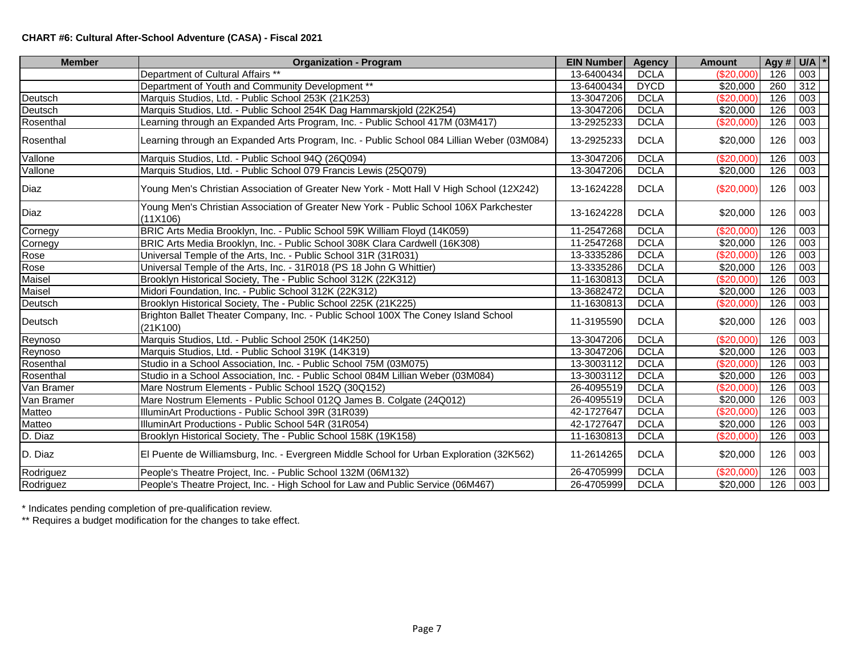## **CHART #6: Cultural After-School Adventure (CASA) - Fiscal 2021**

| <b>Member</b> | <b>Organization - Program</b>                                                                      | <b>EIN Number</b> | Agency      | <b>Amount</b> | Agy # $U/A$ * |                  |  |
|---------------|----------------------------------------------------------------------------------------------------|-------------------|-------------|---------------|---------------|------------------|--|
|               | Department of Cultural Affairs **                                                                  | 13-6400434        | <b>DCLA</b> | (\$20,000)    | 126           | 003              |  |
|               | Department of Youth and Community Development **                                                   | 13-6400434        | <b>DYCD</b> | \$20,000      | 260           | 312              |  |
| Deutsch       | Marquis Studios, Ltd. - Public School 253K (21K253)                                                | 13-3047206        | <b>DCLA</b> | (\$20,000)    | 126           | 003              |  |
| Deutsch       | Marquis Studios, Ltd. - Public School 254K Dag Hammarskjold (22K254)                               | 13-3047206        | <b>DCLA</b> | \$20,000      | 126           | 003              |  |
| Rosenthal     | Learning through an Expanded Arts Program, Inc. - Public School 417M (03M417)                      | 13-2925233        | <b>DCLA</b> | (\$20,000)    | 126           | 003              |  |
| Rosenthal     | Learning through an Expanded Arts Program, Inc. - Public School 084 Lillian Weber (03M084)         | 13-2925233        | <b>DCLA</b> | \$20,000      | 126           | 003              |  |
| Vallone       | Marquis Studios, Ltd. - Public School 94Q (26Q094)                                                 | 13-3047206        | <b>DCLA</b> | (\$20,000)    | 126           | 003              |  |
| Vallone       | Marquis Studios, Ltd. - Public School 079 Francis Lewis (25Q079)                                   | 13-3047206        | <b>DCLA</b> | \$20,000      | 126           | 003              |  |
| <b>Diaz</b>   | Young Men's Christian Association of Greater New York - Mott Hall V High School (12X242)           | 13-1624228        | <b>DCLA</b> | (\$20,000)    | 126           | 003              |  |
| Diaz          | Young Men's Christian Association of Greater New York - Public School 106X Parkchester<br>(11X106) | 13-1624228        | <b>DCLA</b> | \$20,000      | 126           | 003              |  |
| Cornegy       | BRIC Arts Media Brooklyn, Inc. - Public School 59K William Floyd (14K059)                          | 11-2547268        | <b>DCLA</b> | $($ \$20,000) | 126           | 003              |  |
| Cornegy       | BRIC Arts Media Brooklyn, Inc. - Public School 308K Clara Cardwell (16K308)                        | 11-2547268        | <b>DCLA</b> | \$20,000      | 126           | 003              |  |
| Rose          | Universal Temple of the Arts, Inc. - Public School 31R (31R031)                                    | 13-3335286        | <b>DCLA</b> | (\$20,000)    | 126           | 003              |  |
| Rose          | Universal Temple of the Arts, Inc. - 31R018 (PS 18 John G Whittier)                                | 13-3335286        | <b>DCLA</b> | \$20,000      | 126           | 003              |  |
| Maisel        | Brooklyn Historical Society, The - Public School 312K (22K312)                                     | 11-1630813        | <b>DCLA</b> | (\$20,000)    | 126           | 003              |  |
| Maisel        | Midori Foundation, Inc. - Public School 312K (22K312)                                              | 13-3682472        | <b>DCLA</b> | \$20,000      | 126           | 003              |  |
| Deutsch       | Brooklyn Historical Society, The - Public School 225K (21K225)                                     | 11-1630813        | <b>DCLA</b> | (\$20,000)    | 126           | 003              |  |
| Deutsch       | Brighton Ballet Theater Company, Inc. - Public School 100X The Coney Island School<br>(21K100)     | 11-3195590        | <b>DCLA</b> | \$20,000      | 126           | 003              |  |
| Reynoso       | Marquis Studios, Ltd. - Public School 250K (14K250)                                                | 13-3047206        | <b>DCLA</b> | (\$20,000)    | 126           | 003              |  |
| Reynoso       | Marquis Studios, Ltd. - Public School 319K (14K319)                                                | 13-3047206        | <b>DCLA</b> | \$20,000      | 126           | 003              |  |
| Rosenthal     | Studio in a School Association, Inc. - Public School 75M (03M075)                                  | 13-3003112        | <b>DCLA</b> | ( \$20,000)   | 126           | 003              |  |
| Rosenthal     | Studio in a School Association, Inc. - Public School 084M Lillian Weber (03M084)                   | 13-3003112        | <b>DCLA</b> | \$20,000      | 126           | 003              |  |
| Van Bramer    | Mare Nostrum Elements - Public School 152Q (30Q152)                                                | 26-4095519        | <b>DCLA</b> | (\$20,000)    | 126           | 003              |  |
| Van Bramer    | Mare Nostrum Elements - Public School 012Q James B. Colgate (24Q012)                               | 26-4095519        | <b>DCLA</b> | \$20,000      | 126           | 003              |  |
| Matteo        | IlluminArt Productions - Public School 39R (31R039)                                                | 42-1727647        | <b>DCLA</b> | (\$20,000)    | 126           | 003              |  |
| Matteo        | IlluminArt Productions - Public School 54R (31R054)                                                | 42-1727647        | <b>DCLA</b> | \$20,000      | 126           | 003              |  |
| D. Diaz       | Brooklyn Historical Society, The - Public School 158K (19K158)                                     | 11-1630813        | <b>DCLA</b> | (\$20,000)    | 126           | $\overline{003}$ |  |
| D. Diaz       | El Puente de Williamsburg, Inc. - Evergreen Middle School for Urban Exploration (32K562)           | 11-2614265        | <b>DCLA</b> | \$20,000      | 126           | 003              |  |
| Rodriguez     | People's Theatre Project, Inc. - Public School 132M (06M132)                                       | 26-4705999        | <b>DCLA</b> | \$20,000      | 126           | 003              |  |
| Rodriguez     | People's Theatre Project, Inc. - High School for Law and Public Service (06M467)                   | 26-4705999        | <b>DCLA</b> | \$20,000      | 126           | 003              |  |

\* Indicates pending completion of pre-qualification review.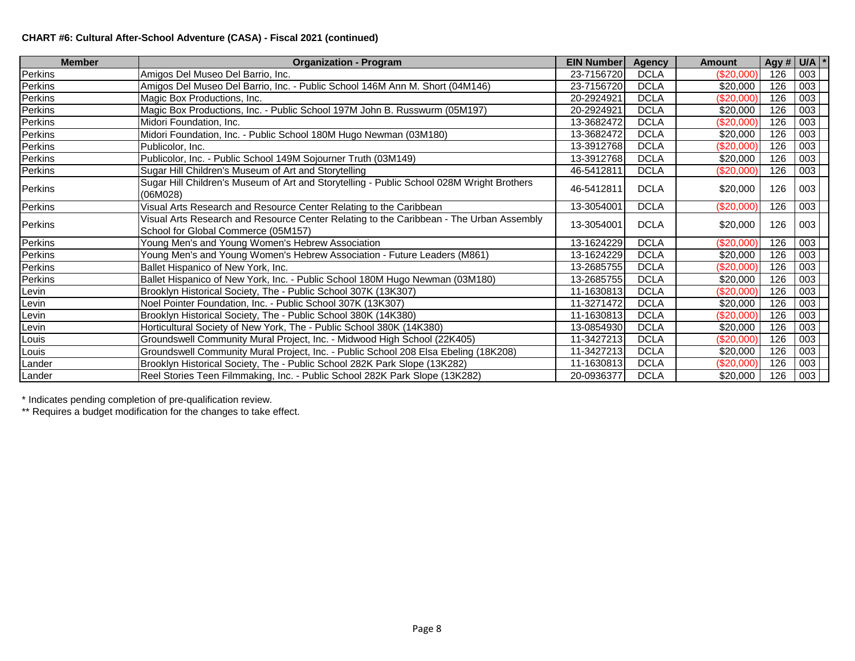## **CHART #6: Cultural After-School Adventure (CASA) - Fiscal 2021 (continued)**

| <b>Member</b>  | <b>Organization - Program</b>                                                                                                  | <b>EIN Number</b> | <b>Agency</b> | <b>Amount</b> | Agy # $U/A$ * |     |  |
|----------------|--------------------------------------------------------------------------------------------------------------------------------|-------------------|---------------|---------------|---------------|-----|--|
| Perkins        | Amigos Del Museo Del Barrio, Inc.                                                                                              | 23-7156720        | <b>DCLA</b>   | $(\$20,000)$  | 126           | 003 |  |
| Perkins        | Amigos Del Museo Del Barrio, Inc. - Public School 146M Ann M. Short (04M146)                                                   | 23-7156720        | <b>DCLA</b>   | \$20,000      | 126           | 003 |  |
| Perkins        | Magic Box Productions, Inc.                                                                                                    | 20-2924921        | <b>DCLA</b>   | (\$20,000)    | 126           | 003 |  |
| Perkins        | Magic Box Productions, Inc. - Public School 197M John B. Russwurm (05M197)                                                     | 20-2924921        | <b>DCLA</b>   | \$20,000      | 126           | 003 |  |
| Perkins        | Midori Foundation, Inc.                                                                                                        | 13-3682472        | <b>DCLA</b>   | $(\$20,000)$  | 126           | 003 |  |
| Perkins        | Midori Foundation, Inc. - Public School 180M Hugo Newman (03M180)                                                              | 13-3682472        | <b>DCLA</b>   | \$20,000      | 126           | 003 |  |
| Perkins        | Publicolor, Inc.                                                                                                               | 13-3912768        | <b>DCLA</b>   | (\$20,000)    | 126           | 003 |  |
| Perkins        | Publicolor, Inc. - Public School 149M Sojourner Truth (03M149)                                                                 | 13-3912768        | <b>DCLA</b>   | \$20,000      | 126           | 003 |  |
| Perkins        | Sugar Hill Children's Museum of Art and Storytelling                                                                           | 46-5412811        | <b>DCLA</b>   | $(\$20,000)$  | 126           | 003 |  |
| Perkins        | Sugar Hill Children's Museum of Art and Storytelling - Public School 028M Wright Brothers<br>(06M028)                          | 46-5412811        | <b>DCLA</b>   | \$20,000      | 126           | 003 |  |
| Perkins        | Visual Arts Research and Resource Center Relating to the Caribbean                                                             | 13-3054001        | <b>DCLA</b>   | (\$20,000)    | 126           | 003 |  |
| <b>Perkins</b> | Visual Arts Research and Resource Center Relating to the Caribbean - The Urban Assembly<br>School for Global Commerce (05M157) | 13-3054001        | <b>DCLA</b>   | \$20,000      | 126           | 003 |  |
| Perkins        | Young Men's and Young Women's Hebrew Association                                                                               | 13-1624229        | <b>DCLA</b>   | (\$20,000)    | 126           | 003 |  |
| Perkins        | Young Men's and Young Women's Hebrew Association - Future Leaders (M861)                                                       | 13-1624229        | <b>DCLA</b>   | \$20,000      | 126           | 003 |  |
| Perkins        | Ballet Hispanico of New York, Inc.                                                                                             | 13-2685755        | <b>DCLA</b>   | (\$20,000)    | 126           | 003 |  |
| Perkins        | Ballet Hispanico of New York, Inc. - Public School 180M Hugo Newman (03M180)                                                   | 13-2685755        | <b>DCLA</b>   | \$20,000      | 126           | 003 |  |
| Levin          | Brooklyn Historical Society, The - Public School 307K (13K307)                                                                 | 11-1630813        | <b>DCLA</b>   | (\$20,000)    | 126           | 003 |  |
| Levin          | Noel Pointer Foundation, Inc. - Public School 307K (13K307)                                                                    | 11-3271472        | <b>DCLA</b>   | \$20,000      | 126           | 003 |  |
| Levin          | Brooklyn Historical Society, The - Public School 380K (14K380)                                                                 | 11-1630813        | <b>DCLA</b>   | (\$20,000)    | 126           | 003 |  |
| Levin          | Horticultural Society of New York, The - Public School 380K (14K380)                                                           | 13-0854930        | <b>DCLA</b>   | \$20,000      | 126           | 003 |  |
| Louis          | Groundswell Community Mural Project, Inc. - Midwood High School (22K405)                                                       | 11-3427213        | <b>DCLA</b>   | (\$20,000)    | 126           | 003 |  |
| Louis          | Groundswell Community Mural Project, Inc. - Public School 208 Elsa Ebeling (18K208)                                            | 11-3427213        | <b>DCLA</b>   | \$20,000      | 126           | 003 |  |
| Lander         | Brooklyn Historical Society, The - Public School 282K Park Slope (13K282)                                                      | 11-1630813        | <b>DCLA</b>   | (\$20,000)    | 126           | 003 |  |
| Lander         | Reel Stories Teen Filmmaking, Inc. - Public School 282K Park Slope (13K282)                                                    | 20-0936377        | <b>DCLA</b>   | \$20,000      | 126           | 003 |  |

\* Indicates pending completion of pre-qualification review.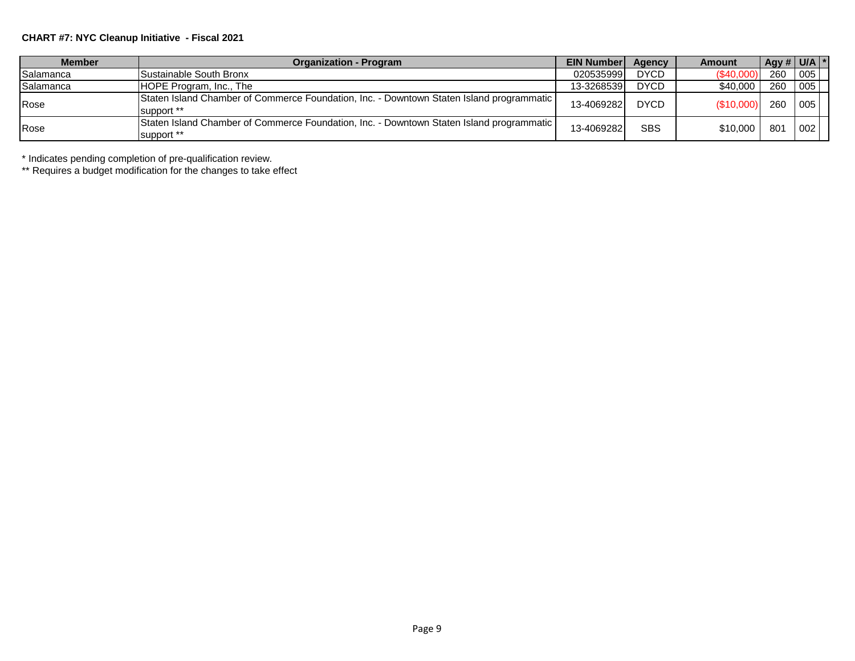## **CHART #7: NYC Cleanup Initiative - Fiscal 2021**

| <b>Member</b> | <b>Organization - Program</b>                                                                          | <b>EIN Number</b> | Agency      | Amount     | Agy # $U/A$ * |     |  |
|---------------|--------------------------------------------------------------------------------------------------------|-------------------|-------------|------------|---------------|-----|--|
| Salamanca     | Sustainable South Bronx                                                                                | 020535999         | <b>DYCD</b> | (\$40,000) | 260           | 005 |  |
| Salamanca     | HOPE Program, Inc., The                                                                                | 13-3268539        | <b>DYCD</b> | \$40,000   | 260           | 005 |  |
| Rose          | Staten Island Chamber of Commerce Foundation, Inc. - Downtown Staten Island programmatic<br>support ** | 13-4069282        | <b>DYCD</b> | (\$10.000) | 260           | 005 |  |
| Rose          | Staten Island Chamber of Commerce Foundation, Inc. - Downtown Staten Island programmatic<br>support ** | 13-4069282        | <b>SBS</b>  | \$10,000   | 801           | 002 |  |

\* Indicates pending completion of pre-qualification review.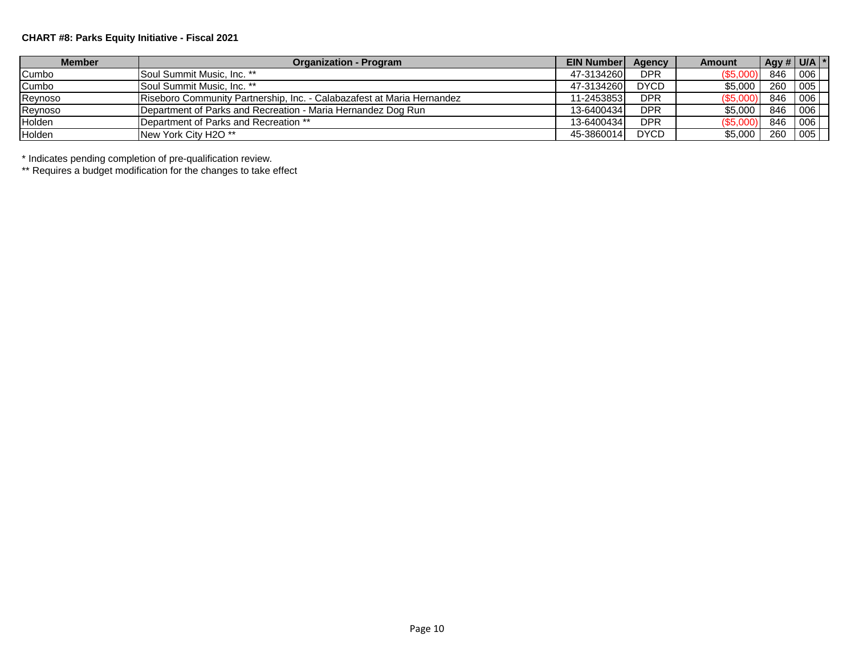## **CHART #8: Parks Equity Initiative - Fiscal 2021**

| <b>Member</b> | <b>Organization - Program</b>                                          | <b>EIN Number</b> | Agency      | Amount  | Agy # $  U/A  $ * |     |
|---------------|------------------------------------------------------------------------|-------------------|-------------|---------|-------------------|-----|
| Cumbo         | <b>ISoul Summit Music. Inc. **</b>                                     | 47-3134260        | <b>DPR</b>  | (\$5,00 | 846               | 006 |
| Cumbo         | <b>ISoul Summit Music. Inc. **</b>                                     | 47-3134260        | <b>DYCD</b> | \$5,000 | 260               | 005 |
| Reynoso       | Riseboro Community Partnership, Inc. - Calabazafest at Maria Hernandez | 11-24538531       | <b>DPR</b>  | (\$5,00 | 846               | 006 |
| Reynoso       | Department of Parks and Recreation - Maria Hernandez Dog Run           | 13-6400434        | <b>DPR</b>  | \$5,000 | 846               | 006 |
| Holden        | <b>IDepartment of Parks and Recreation **</b>                          | 13-6400434        | <b>DPR</b>  | (S5,00) | 846               | 006 |
| <b>Holden</b> | New York City H2O **                                                   | 45-3860014        | <b>DYCD</b> | \$5,000 | 260               | 005 |

\* Indicates pending completion of pre-qualification review.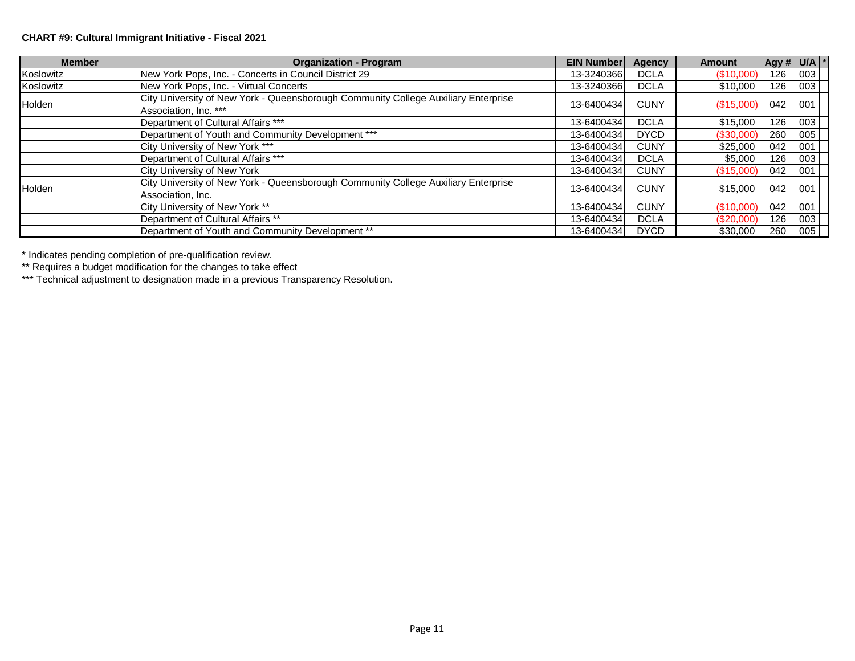## **CHART #9: Cultural Immigrant Initiative - Fiscal 2021**

| <b>Member</b> | <b>Organization - Program</b>                                                                               | <b>EIN Number</b> | Agency      | <b>Amount</b> | Agy # $U/A$ <sup>*</sup> |     |  |
|---------------|-------------------------------------------------------------------------------------------------------------|-------------------|-------------|---------------|--------------------------|-----|--|
| Koslowitz     | New York Pops, Inc. - Concerts in Council District 29                                                       | 13-3240366        | <b>DCLA</b> | (\$10,000     | 126                      | 003 |  |
| Koslowitz     | New York Pops, Inc. - Virtual Concerts                                                                      | 13-3240366        | <b>DCLA</b> | \$10,000      | 126                      | 003 |  |
| Holden        | City University of New York - Queensborough Community College Auxiliary Enterprise<br>Association, Inc. *** | 13-6400434        | <b>CUNY</b> | (\$15,000)    | 042                      | 001 |  |
|               | Department of Cultural Affairs ***                                                                          | 13-6400434        | <b>DCLA</b> | \$15,000      | 126                      | 003 |  |
|               | Department of Youth and Community Development ***                                                           | 13-6400434        | <b>DYCD</b> | (\$30,000     | 260                      | 005 |  |
|               | City University of New York ***                                                                             | 13-6400434        | <b>CUNY</b> | \$25,000      | 042                      | 001 |  |
|               | Department of Cultural Affairs ***                                                                          | 13-6400434        | <b>DCLA</b> | \$5,000       | 126                      | 003 |  |
|               | City University of New York                                                                                 | 13-6400434        | <b>CUNY</b> | (\$15,000     | 042                      | 001 |  |
| Holden        | City University of New York - Queensborough Community College Auxiliary Enterprise<br>Association, Inc.     | 13-6400434        | <b>CUNY</b> | \$15,000      | 042                      | 001 |  |
|               | City University of New York **                                                                              | 13-6400434        | <b>CUNY</b> | (\$10.000     | 042                      | 001 |  |
|               | Department of Cultural Affairs **                                                                           | 13-6400434        | <b>DCLA</b> | (\$20,000     | 126                      | 003 |  |
|               | Department of Youth and Community Development **                                                            | 13-6400434        | <b>DYCD</b> | \$30,000      | 260                      | 005 |  |

\* Indicates pending completion of pre-qualification review.

\*\* Requires a budget modification for the changes to take effect

\*\*\* Technical adjustment to designation made in a previous Transparency Resolution.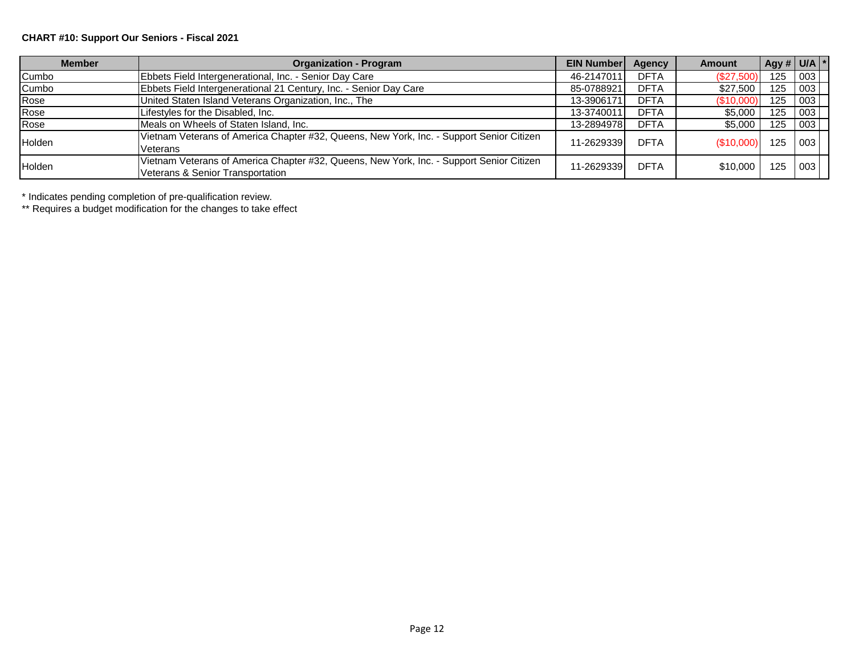## **CHART #10: Support Our Seniors - Fiscal 2021**

| <b>Member</b> | <b>Organization - Program</b>                                                                                                | <b>EIN Number</b> | Agency      | Amount     | $\vert$ Agy # $\vert$ U/A $\vert$ <sup>*</sup> |     |  |
|---------------|------------------------------------------------------------------------------------------------------------------------------|-------------------|-------------|------------|------------------------------------------------|-----|--|
| Cumbo         | Ebbets Field Intergenerational, Inc. - Senior Day Care                                                                       | 46-2147011        | <b>DFTA</b> | (\$27,500  | 125                                            | 003 |  |
| Cumbo         | Ebbets Field Intergenerational 21 Century, Inc. - Senior Day Care                                                            | 85-0788921        | <b>DFTA</b> | \$27,500   | 125                                            | 003 |  |
| Rose          | United Staten Island Veterans Organization, Inc., The                                                                        | 13-3906171        | <b>DFTA</b> | (\$10,000  | 125                                            | 003 |  |
| Rose          | Lifestyles for the Disabled, Inc.                                                                                            | 13-3740011        | <b>DFTA</b> | \$5,000    | 125                                            | 003 |  |
| Rose          | Meals on Wheels of Staten Island, Inc.                                                                                       | 13-2894978        | <b>DFTA</b> | \$5,000    | 125                                            | 003 |  |
| Holden        | Vietnam Veterans of America Chapter #32, Queens, New York, Inc. - Support Senior Citizen<br>Veterans                         | 11-2629339        | <b>DFTA</b> | (\$10,000) | 125                                            | 003 |  |
| Holden        | Vietnam Veterans of America Chapter #32, Queens, New York, Inc. - Support Senior Citizen<br>Veterans & Senior Transportation | 11-2629339        | <b>DFTA</b> | \$10,000   | 125                                            | 003 |  |

\* Indicates pending completion of pre-qualification review.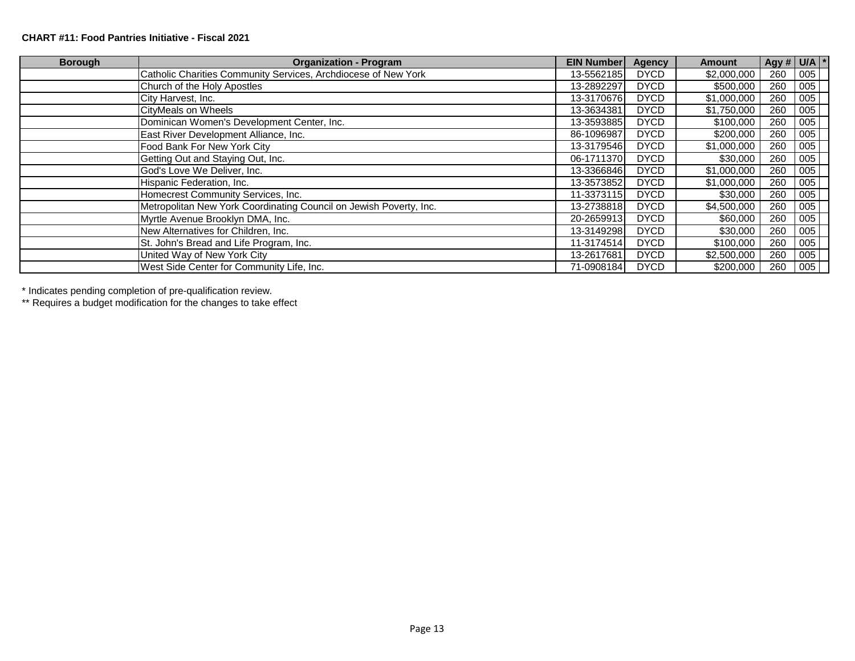#### **CHART #11: Food Pantries Initiative - Fiscal 2021**

| <b>Borough</b> | <b>Organization - Program</b>                                      | <b>EIN Number</b> | Agency      | <b>Amount</b> | Agy # $U/A$ * |       |  |
|----------------|--------------------------------------------------------------------|-------------------|-------------|---------------|---------------|-------|--|
|                | Catholic Charities Community Services, Archdiocese of New York     | 13-5562185        | <b>DYCD</b> | \$2,000,000   | 260           | 005   |  |
|                | Church of the Holy Apostles                                        | 13-2892297        | <b>DYCD</b> | \$500,000     | 260           | 005   |  |
|                | City Harvest, Inc.                                                 | 13-3170676        | <b>DYCD</b> | \$1,000,000   | 260           | 005   |  |
|                | CityMeals on Wheels                                                | 13-3634381        | <b>DYCD</b> | \$1,750,000   | 260           | 005   |  |
|                | Dominican Women's Development Center, Inc.                         | 13-3593885        | <b>DYCD</b> | \$100,000     | 260           | 005   |  |
|                | East River Development Alliance, Inc.                              | 86-1096987        | <b>DYCD</b> | \$200,000     | 260           | 005   |  |
|                | Food Bank For New York City                                        | 13-3179546        | <b>DYCD</b> | \$1,000,000   | 260           | 005   |  |
|                | Getting Out and Staying Out, Inc.                                  | 06-1711370        | <b>DYCD</b> | \$30,000      | 260           | 005   |  |
|                | God's Love We Deliver, Inc.                                        | 13-3366846        | <b>DYCD</b> | \$1,000,000   | 260           | 005   |  |
|                | Hispanic Federation, Inc.                                          | 13-3573852        | <b>DYCD</b> | \$1,000,000   | 260           | 005   |  |
|                | Homecrest Community Services, Inc.                                 | 11-3373115        | <b>DYCD</b> | \$30,000      | 260           | 005   |  |
|                | Metropolitan New York Coordinating Council on Jewish Poverty, Inc. | 13-2738818        | <b>DYCD</b> | \$4,500,000   | 260           | $005$ |  |
|                | Myrtle Avenue Brooklyn DMA, Inc.                                   | 20-2659913        | <b>DYCD</b> | \$60,000      | 260           | 005   |  |
|                | New Alternatives for Children, Inc.                                | 13-3149298        | <b>DYCD</b> | \$30,000      | 260           | $005$ |  |
|                | St. John's Bread and Life Program, Inc.                            | 11-3174514        | <b>DYCD</b> | \$100,000     | 260           | 005   |  |
|                | United Way of New York City                                        | 13-2617681        | <b>DYCD</b> | \$2,500,000   | 260           | 005   |  |
|                | West Side Center for Community Life, Inc.                          | 71-0908184        | <b>DYCD</b> | \$200,000     | 260           | $005$ |  |

\* Indicates pending completion of pre-qualification review.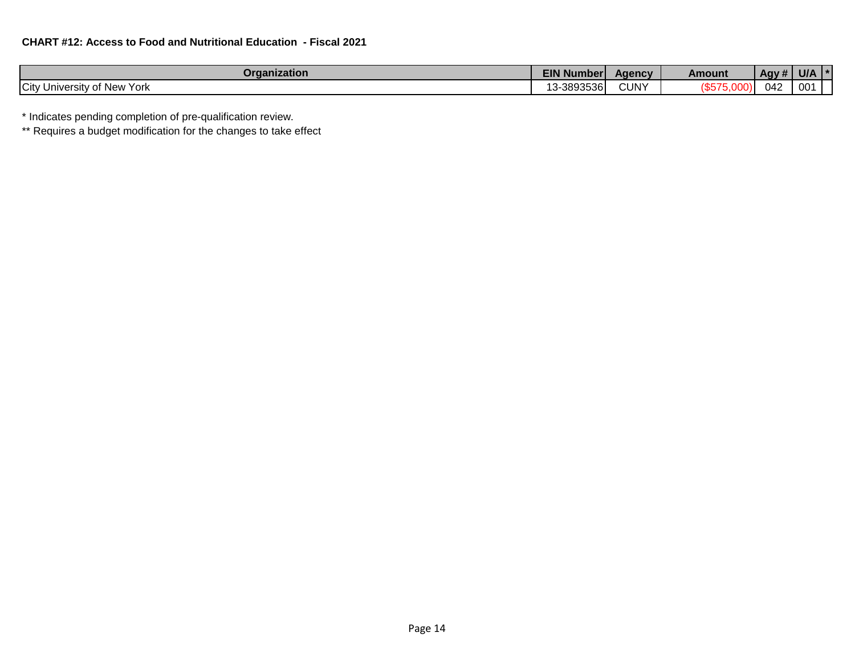| Organization                                  | <b>EIN Number</b> | Agency      | Amount | Agy # $\vert$ | U/A |  |
|-----------------------------------------------|-------------------|-------------|--------|---------------|-----|--|
| City I<br><sup>,</sup> University of New York | 13-38935361<br>ັ  | <b>CUNY</b> | \$57   | 042           | 001 |  |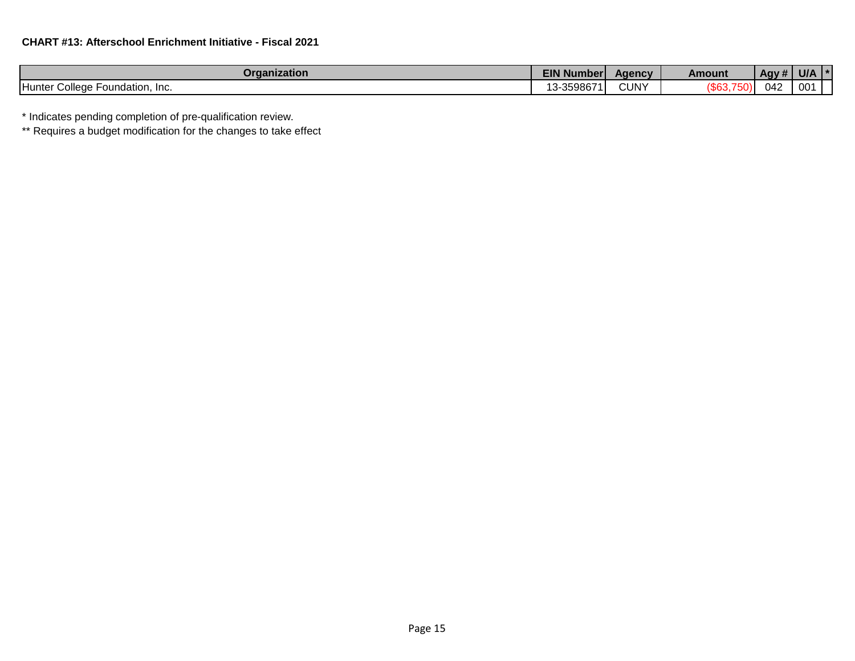| Organization                              | <b>EIN Numberl</b> | Aaencv | Amount   | Agy # | U/A             |  |
|-------------------------------------------|--------------------|--------|----------|-------|-----------------|--|
| College I<br>Hunter<br>↑ Foundation. Inc. | 3-359867           | CUNY   | (863.75) | 042   | 00 <sup>4</sup> |  |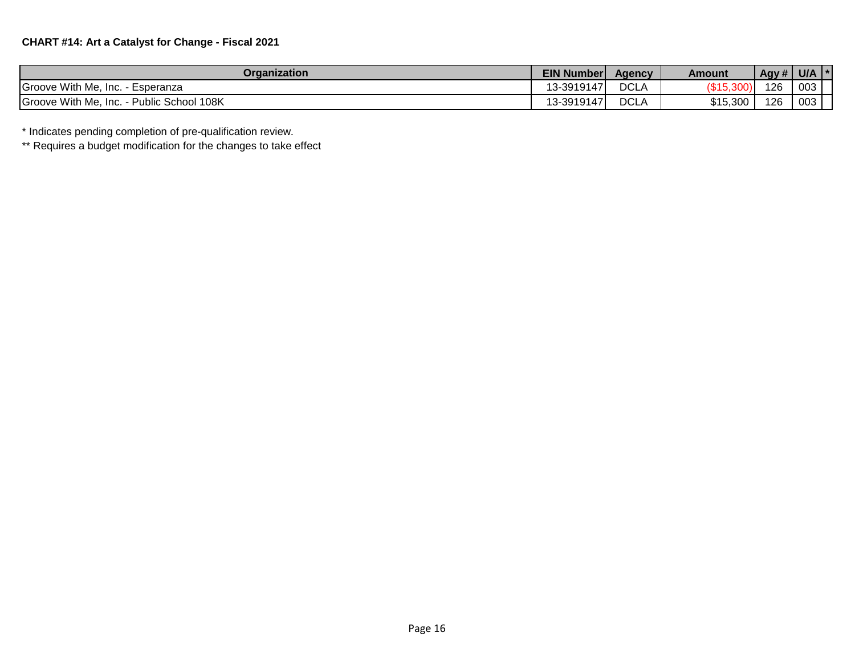| Organization                                 | <b>EIN Number</b> | <b>Agency</b> | Amount   | Agy # | U/A | - 13 |
|----------------------------------------------|-------------------|---------------|----------|-------|-----|------|
| Groove With Me, Inc.<br>Esperanza            | 13-3919147        | <b>DCLA</b>   |          | 126   | 003 |      |
| Groove With Me, Inc.<br>- Public School 108K | 13-3919147        | <b>DCLA</b>   | \$15,300 | 126   | 003 |      |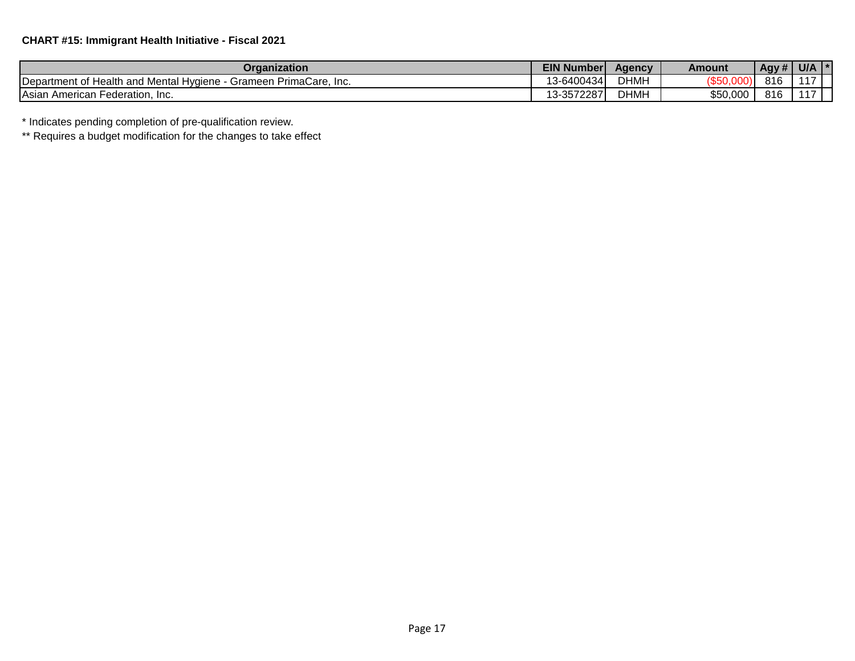| <b>Dr</b> aanization                                                                  | <b>EIN Number</b> | Agency      | Amount   | $\overline{$ Agy # | U/A |  |
|---------------------------------------------------------------------------------------|-------------------|-------------|----------|--------------------|-----|--|
| I Hvaiene -<br>، PrimaCare. Inc.<br>Department of H<br>Health and Mental<br>- Grameen | 13-6400434        | <b>DHMH</b> |          | 816                | AA  |  |
| <b>Asian American Federation. Inc.</b>                                                | 3-3572287         | <b>DHMH</b> | \$50,000 | 816                | .   |  |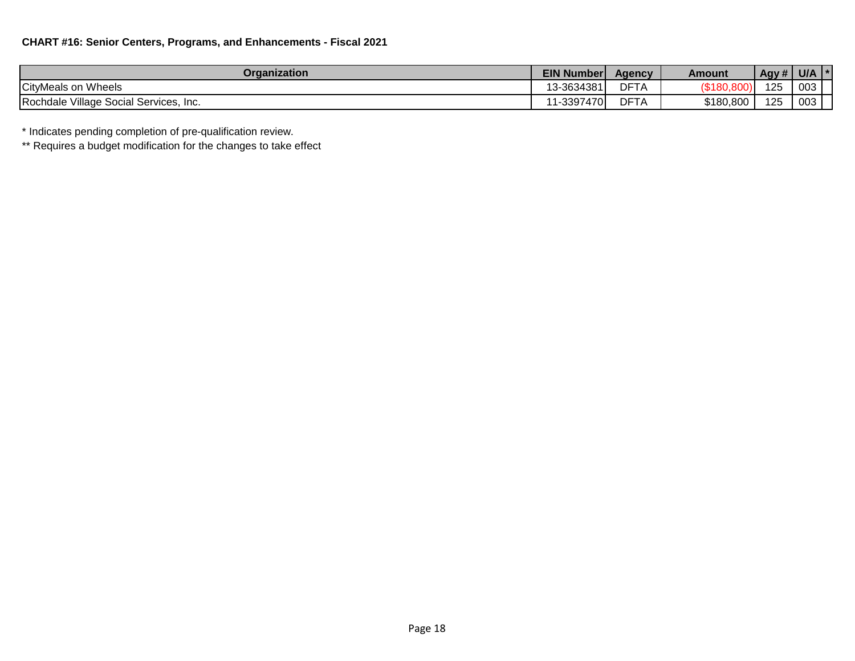| Organization                                | <b>EIN Number</b> | Agency | Amount    | Agy# | U/A |  |
|---------------------------------------------|-------------------|--------|-----------|------|-----|--|
| <b>CityMeals on Wheels</b>                  | 13-3634381        | DFT/   | υυ τ      | 125  | 003 |  |
| Village Social Services, Inc.<br>Rochdale \ | 11-3397470        | DFT/   | \$180,800 | 125  | 003 |  |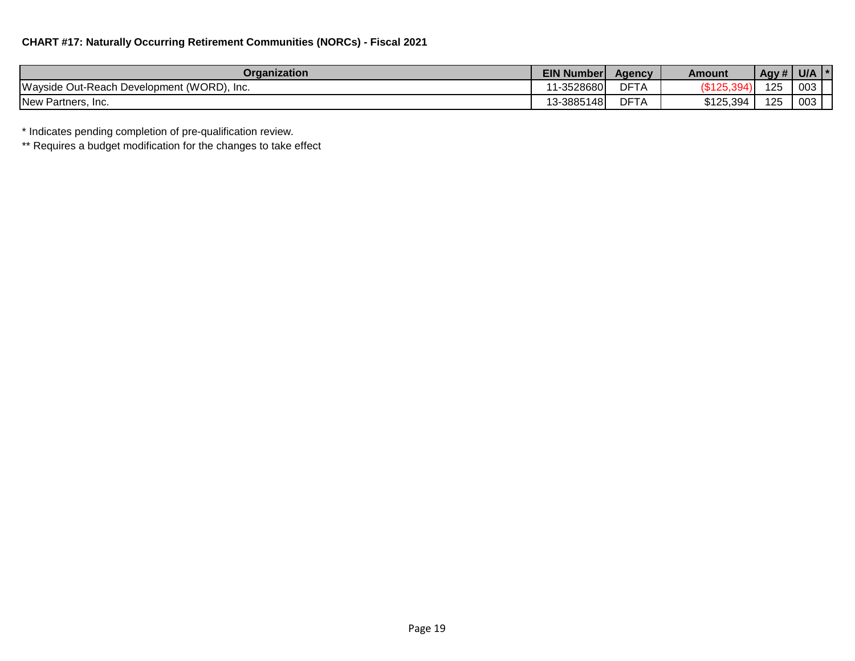| Organization                                        | <b>EIN Number</b> | Agency      | Amount    | Agy# | U/A |  |
|-----------------------------------------------------|-------------------|-------------|-----------|------|-----|--|
| h Development (WORD).<br>Wayside Out-Reach<br>-Inc. | 11-3528680        | DFT/<br>I A |           | 125  | 003 |  |
| New Partners,<br>-Inc.                              | 13-3885148        | DFT/        | \$125,394 | 125  | 003 |  |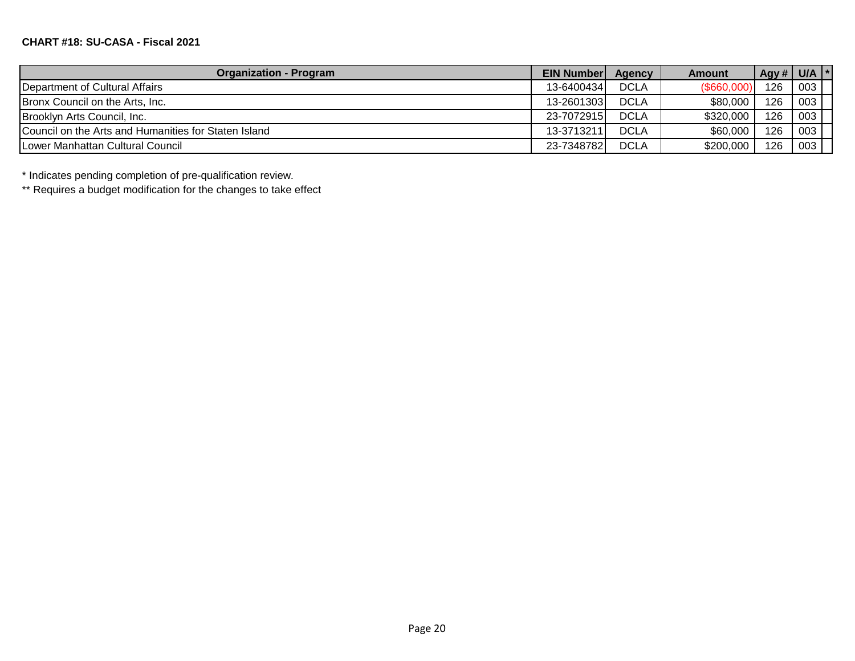## **CHART #18: SU-CASA - Fiscal 2021**

| <b>Organization - Program</b>                        | <b>EIN Numberl</b> | Agency      | <b>Amount</b> | Agy # $ $ U/A |     | $\mathbf{r}$ |
|------------------------------------------------------|--------------------|-------------|---------------|---------------|-----|--------------|
| Department of Cultural Affairs                       | 13-6400434         | <b>DCLA</b> | (S660.000)    | 126           | 003 |              |
| Bronx Council on the Arts, Inc.                      | 13-2601303         | <b>DCLA</b> | \$80,000      | 126           | 003 |              |
| Brooklyn Arts Council, Inc.                          | 23-7072915         | <b>DCLA</b> | \$320,000     | 126           | 003 |              |
| Council on the Arts and Humanities for Staten Island | 13-3713211         | <b>DCLA</b> | \$60,000      | 126           | 003 |              |
| Lower Manhattan Cultural Council                     | 23-7348782         | <b>DCLA</b> | \$200,000     | 126           | 003 |              |

\* Indicates pending completion of pre-qualification review.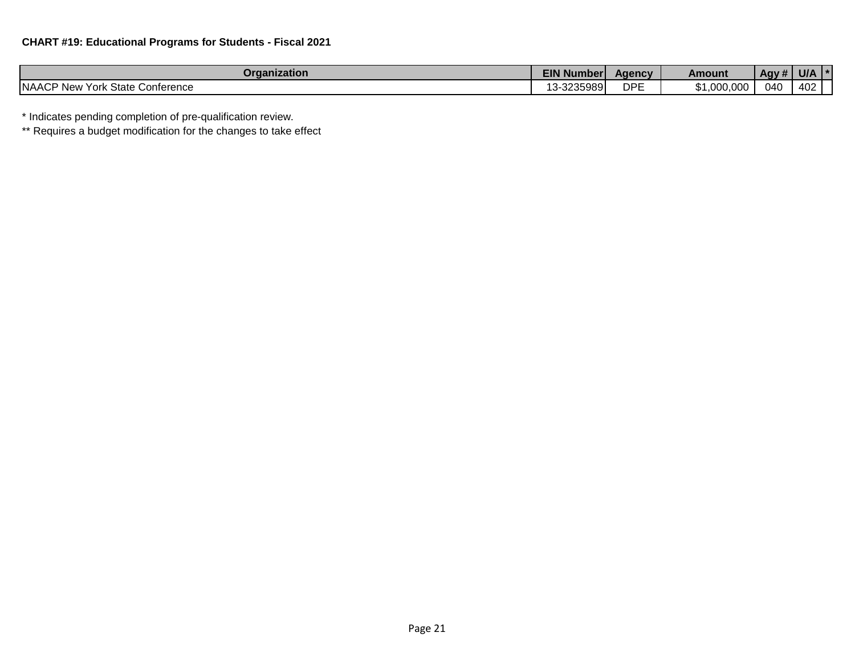| Organization                                              | <b>EIN Number</b> | Agency           | Amount                                  | .<br>$\overline{Agy H}$ | U/A |  |
|-----------------------------------------------------------|-------------------|------------------|-----------------------------------------|-------------------------|-----|--|
| <b>NAACP</b><br>k State Conference<br>∵York<br><b>New</b> | $3 - 3235989$     | <b>DDE</b><br>பா | 1,000,000<br><b>COM</b><br>$\mathbf{1}$ | 040                     | 402 |  |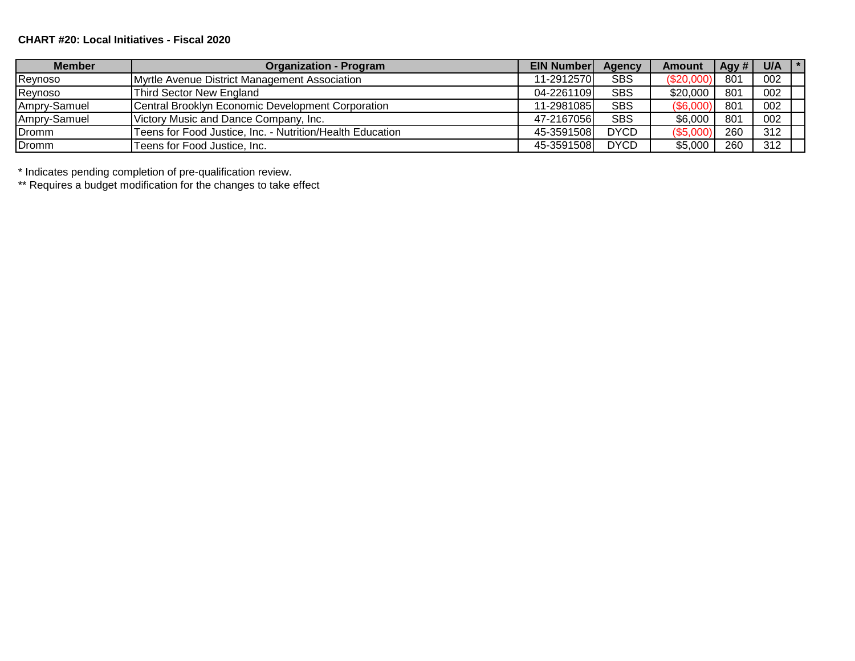## **CHART #20: Local Initiatives - Fiscal 2020**

| <b>Member</b> | <b>Organization - Program</b>                             | <b>EIN Number</b> | Agency      | <b>Amount</b> | Agy # | U/A $\vert$ * |  |
|---------------|-----------------------------------------------------------|-------------------|-------------|---------------|-------|---------------|--|
| Reynoso       | Myrtle Avenue District Management Association             | 11-2912570        | <b>SBS</b>  | (\$20,000)    | 801   | 002           |  |
| Reynoso       | Third Sector New England                                  | 04-2261109        | <b>SBS</b>  | \$20,000      | 801   | 002           |  |
| Ampry-Samuel  | Central Brooklyn Economic Development Corporation         | 11-2981085        | <b>SBS</b>  | (\$6,000)     | 801   | 002           |  |
| Ampry-Samuel  | Victory Music and Dance Company, Inc.                     | 47-2167056        | <b>SBS</b>  | \$6,000       | 801   | 002           |  |
| Dromm         | Teens for Food Justice, Inc. - Nutrition/Health Education | 45-3591508        | <b>DYCD</b> | (\$5,000)     | 260   | 312           |  |
| Dromm         | Teens for Food Justice. Inc. l                            | 45-3591508        | <b>DYCD</b> | \$5,000       | 260   | 312           |  |

\* Indicates pending completion of pre-qualification review.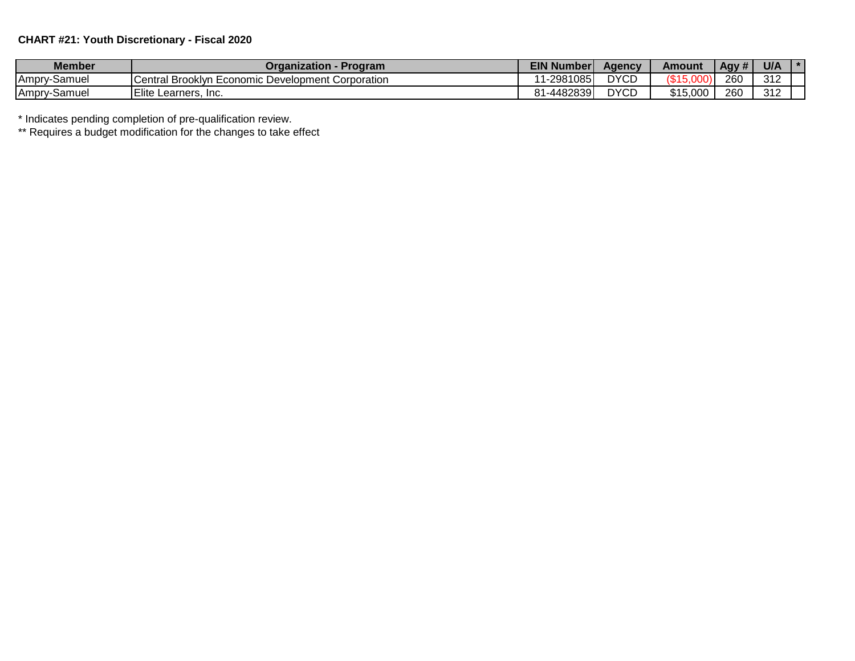# **CHART #21: Youth Discretionary - Fiscal 2020**

| <b>Member</b>   | Organization<br><b>Program</b>                                   | <b>EIN Number</b> | Aqencv      | Amount   | Agy # | U/A          |  |
|-----------------|------------------------------------------------------------------|-------------------|-------------|----------|-------|--------------|--|
| Ampr<br>Samuel  | ICentral Brooklvn<br>ivn Economic Development (<br>. Corporation | -2981085          | <b>DYCD</b> | \$15     | 260   | 240<br>ے ا ت |  |
| Ampry<br>Samuel | Elite.<br>Learners. Inc.                                         | გ1-4482839l       | <b>DYCD</b> | \$15,000 | 260   | 242<br>ے ا ب |  |

\* Indicates pending completion of pre-qualification review.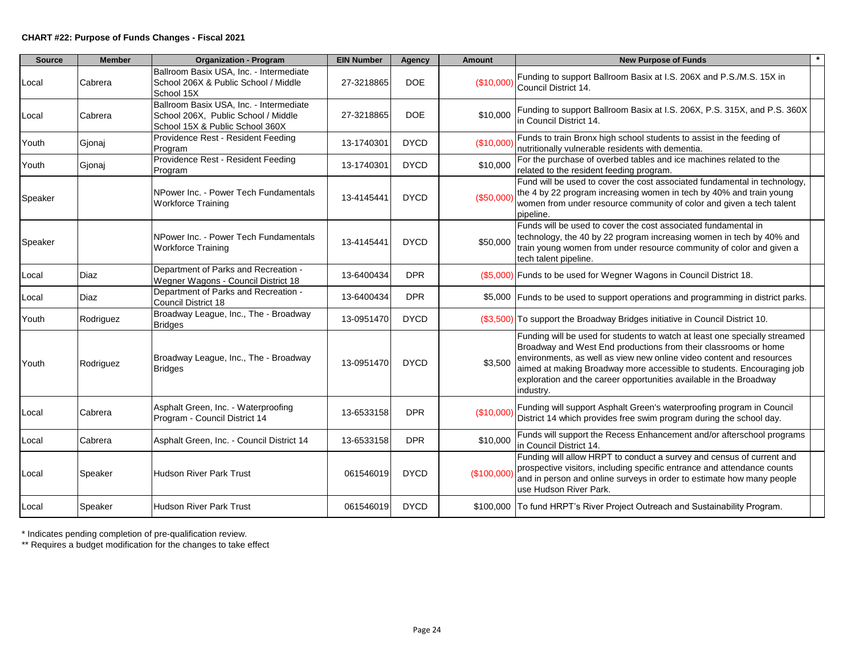#### **CHART #22: Purpose of Funds Changes - Fiscal 2021**

| <b>Source</b> | <b>Member</b> | <b>Organization - Program</b>                                                                                     | <b>EIN Number</b> | Agency      | <b>Amount</b> | $\star$<br><b>New Purpose of Funds</b>                                                                                                                                                                                                                                                                                                                                            |
|---------------|---------------|-------------------------------------------------------------------------------------------------------------------|-------------------|-------------|---------------|-----------------------------------------------------------------------------------------------------------------------------------------------------------------------------------------------------------------------------------------------------------------------------------------------------------------------------------------------------------------------------------|
| Local         | Cabrera       | Ballroom Basix USA, Inc. - Intermediate<br>School 206X & Public School / Middle<br>School 15X                     | 27-3218865        | <b>DOE</b>  | (\$10,000)    | Funding to support Ballroom Basix at I.S. 206X and P.S./M.S. 15X in<br>Council District 14.                                                                                                                                                                                                                                                                                       |
| Local         | Cabrera       | Ballroom Basix USA, Inc. - Intermediate<br>School 206X, Public School / Middle<br>School 15X & Public School 360X | 27-3218865        | <b>DOE</b>  | \$10,000      | Funding to support Ballroom Basix at I.S. 206X, P.S. 315X, and P.S. 360X<br>in Council District 14.                                                                                                                                                                                                                                                                               |
| Youth         | Gjonaj        | Providence Rest - Resident Feeding<br>Program                                                                     | 13-1740301        | <b>DYCD</b> | (\$10,000)    | Funds to train Bronx high school students to assist in the feeding of<br>nutritionally vulnerable residents with dementia.                                                                                                                                                                                                                                                        |
| Youth         | Gjonaj        | Providence Rest - Resident Feeding<br>Program                                                                     | 13-1740301        | <b>DYCD</b> | \$10,000      | For the purchase of overbed tables and ice machines related to the<br>related to the resident feeding program.                                                                                                                                                                                                                                                                    |
| Speaker       |               | NPower Inc. - Power Tech Fundamentals<br><b>Workforce Training</b>                                                | 13-4145441        | <b>DYCD</b> | (\$50,000)    | Fund will be used to cover the cost associated fundamental in technology,<br>the 4 by 22 program increasing women in tech by 40% and train young<br>women from under resource community of color and given a tech talent<br>pipeline.                                                                                                                                             |
| Speaker       |               | NPower Inc. - Power Tech Fundamentals<br><b>Workforce Training</b>                                                | 13-4145441        | <b>DYCD</b> | \$50,000      | Funds will be used to cover the cost associated fundamental in<br>technology, the 40 by 22 program increasing women in tech by 40% and<br>train young women from under resource community of color and given a<br>tech talent pipeline.                                                                                                                                           |
| Local         | Diaz          | Department of Parks and Recreation -<br>Wegner Wagons - Council District 18                                       | 13-6400434        | <b>DPR</b>  |               | (\$5,000) Funds to be used for Wegner Wagons in Council District 18.                                                                                                                                                                                                                                                                                                              |
| Local         | <b>Diaz</b>   | Department of Parks and Recreation -<br>Council District 18                                                       | 13-6400434        | <b>DPR</b>  |               | \$5,000 Funds to be used to support operations and programming in district parks.                                                                                                                                                                                                                                                                                                 |
| Youth         | Rodriguez     | Broadway League, Inc., The - Broadway<br><b>Bridges</b>                                                           | 13-0951470        | <b>DYCD</b> |               | (\$3,500) To support the Broadway Bridges initiative in Council District 10.                                                                                                                                                                                                                                                                                                      |
| Youth         | Rodriguez     | Broadway League, Inc., The - Broadway<br><b>Bridges</b>                                                           | 13-0951470        | <b>DYCD</b> | \$3.500       | Funding will be used for students to watch at least one specially streamed<br>Broadway and West End productions from their classrooms or home<br>environments, as well as view new online video content and resources<br>aimed at making Broadway more accessible to students. Encouraging job<br>exploration and the career opportunities available in the Broadway<br>industry. |
| Local         | Cabrera       | Asphalt Green, Inc. - Waterproofing<br>Program - Council District 14                                              | 13-6533158        | <b>DPR</b>  | (\$10,000)    | Funding will support Asphalt Green's waterproofing program in Council<br>District 14 which provides free swim program during the school day.                                                                                                                                                                                                                                      |
| Local         | Cabrera       | Asphalt Green, Inc. - Council District 14                                                                         | 13-6533158        | <b>DPR</b>  | \$10,000      | Funds will support the Recess Enhancement and/or afterschool programs<br>in Council District 14.                                                                                                                                                                                                                                                                                  |
| Local         | Speaker       | Hudson River Park Trust                                                                                           | 061546019         | <b>DYCD</b> | (\$100,000    | Funding will allow HRPT to conduct a survey and census of current and<br>prospective visitors, including specific entrance and attendance counts<br>and in person and online surveys in order to estimate how many people<br>use Hudson River Park.                                                                                                                               |
| Local         | Speaker       | Hudson River Park Trust                                                                                           | 061546019         | <b>DYCD</b> |               | \$100,000 To fund HRPT's River Project Outreach and Sustainability Program.                                                                                                                                                                                                                                                                                                       |

\* Indicates pending completion of pre-qualification review.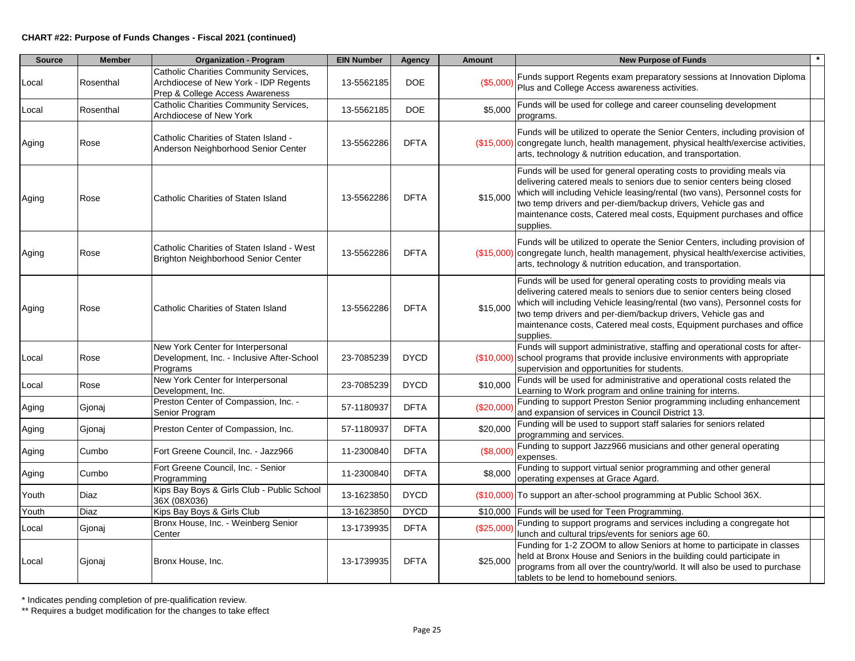#### **CHART #22: Purpose of Funds Changes - Fiscal 2021 (continued)**

| <b>Source</b> | <b>Member</b> | <b>Organization - Program</b>                                                                                      | <b>EIN Number</b> | <b>Agency</b> | Amount       | <b>New Purpose of Funds</b>                                                                                                                                                                                                                                                                                                                                                           |
|---------------|---------------|--------------------------------------------------------------------------------------------------------------------|-------------------|---------------|--------------|---------------------------------------------------------------------------------------------------------------------------------------------------------------------------------------------------------------------------------------------------------------------------------------------------------------------------------------------------------------------------------------|
| Local         | Rosenthal     | Catholic Charities Community Services,<br>Archdiocese of New York - IDP Regents<br>Prep & College Access Awareness | 13-5562185        | <b>DOE</b>    | $($ \$5,000) | Funds support Regents exam preparatory sessions at Innovation Diploma<br>Plus and College Access awareness activities.                                                                                                                                                                                                                                                                |
| Local         | Rosenthal     | Catholic Charities Community Services,<br>Archdiocese of New York                                                  | 13-5562185        | <b>DOE</b>    | \$5,000      | Funds will be used for college and career counseling development<br>programs.                                                                                                                                                                                                                                                                                                         |
| Aging         | Rose          | Catholic Charities of Staten Island -<br>Anderson Neighborhood Senior Center                                       | 13-5562286        | <b>DFTA</b>   |              | Funds will be utilized to operate the Senior Centers, including provision of<br>(\$15,000) congregate lunch, health management, physical health/exercise activities,<br>arts, technology & nutrition education, and transportation.                                                                                                                                                   |
| Aging         | Rose          | Catholic Charities of Staten Island                                                                                | 13-5562286        | <b>DFTA</b>   | \$15,000     | Funds will be used for general operating costs to providing meals via<br>delivering catered meals to seniors due to senior centers being closed<br>which will including Vehicle leasing/rental (two vans), Personnel costs for<br>two temp drivers and per-diem/backup drivers, Vehicle gas and<br>maintenance costs, Catered meal costs, Equipment purchases and office<br>supplies. |
| Aging         | Rose          | Catholic Charities of Staten Island - West<br>Brighton Neighborhood Senior Center                                  | 13-5562286        | <b>DFTA</b>   |              | Funds will be utilized to operate the Senior Centers, including provision of<br>(\$15,000) congregate lunch, health management, physical health/exercise activities,<br>arts, technology & nutrition education, and transportation.                                                                                                                                                   |
| Aging         | Rose          | Catholic Charities of Staten Island                                                                                | 13-5562286        | <b>DFTA</b>   | \$15,000     | Funds will be used for general operating costs to providing meals via<br>delivering catered meals to seniors due to senior centers being closed<br>which will including Vehicle leasing/rental (two vans), Personnel costs for<br>two temp drivers and per-diem/backup drivers, Vehicle gas and<br>maintenance costs, Catered meal costs, Equipment purchases and office<br>supplies. |
| Local         | Rose          | New York Center for Interpersonal<br>Development, Inc. - Inclusive After-School<br>Programs                        | 23-7085239        | <b>DYCD</b>   |              | Funds will support administrative, staffing and operational costs for after-<br>(\$10,000) school programs that provide inclusive environments with appropriate<br>supervision and opportunities for students.                                                                                                                                                                        |
| Local         | Rose          | New York Center for Interpersonal<br>Development, Inc.                                                             | 23-7085239        | <b>DYCD</b>   | \$10,000     | Funds will be used for administrative and operational costs related the<br>Learning to Work program and online training for interns.                                                                                                                                                                                                                                                  |
| Aging         | Gjonaj        | Preston Center of Compassion, Inc. -<br>Senior Program                                                             | 57-1180937        | <b>DFTA</b>   | (\$20,000    | Funding to support Preston Senior programming including enhancement<br>and expansion of services in Council District 13.                                                                                                                                                                                                                                                              |
| Aging         | Gjonaj        | Preston Center of Compassion, Inc.                                                                                 | 57-1180937        | <b>DFTA</b>   | \$20,000     | Funding will be used to support staff salaries for seniors related<br>programming and services.                                                                                                                                                                                                                                                                                       |
| Aging         | Cumbo         | Fort Greene Council, Inc. - Jazz966                                                                                | 11-2300840        | <b>DFTA</b>   | (\$8,000)    | Funding to support Jazz966 musicians and other general operating<br>expenses.                                                                                                                                                                                                                                                                                                         |
| Aging         | Cumbo         | Fort Greene Council, Inc. - Senior<br>Programming                                                                  | 11-2300840        | <b>DFTA</b>   | \$8,000      | Funding to support virtual senior programming and other general<br>operating expenses at Grace Agard.                                                                                                                                                                                                                                                                                 |
| Youth         | Diaz          | Kips Bay Boys & Girls Club - Public School<br>36X (08X036)                                                         | 13-1623850        | <b>DYCD</b>   |              | (\$10,000) To support an after-school programming at Public School 36X.                                                                                                                                                                                                                                                                                                               |
| Youth         | Diaz          | Kips Bay Boys & Girls Club                                                                                         | 13-1623850        | <b>DYCD</b>   |              | \$10,000 Funds will be used for Teen Programming.                                                                                                                                                                                                                                                                                                                                     |
| Local         | Gjonaj        | Bronx House, Inc. - Weinberg Senior<br>Center                                                                      | 13-1739935        | <b>DFTA</b>   | (\$25,000    | Funding to support programs and services including a congregate hot<br>lunch and cultural trips/events for seniors age 60.                                                                                                                                                                                                                                                            |
| Local         | Gjonaj        | Bronx House, Inc.                                                                                                  | 13-1739935        | <b>DFTA</b>   | \$25,000     | Funding for 1-2 ZOOM to allow Seniors at home to participate in classes<br>held at Bronx House and Seniors in the building could participate in<br>programs from all over the country/world. It will also be used to purchase<br>tablets to be lend to homebound seniors.                                                                                                             |

\* Indicates pending completion of pre-qualification review.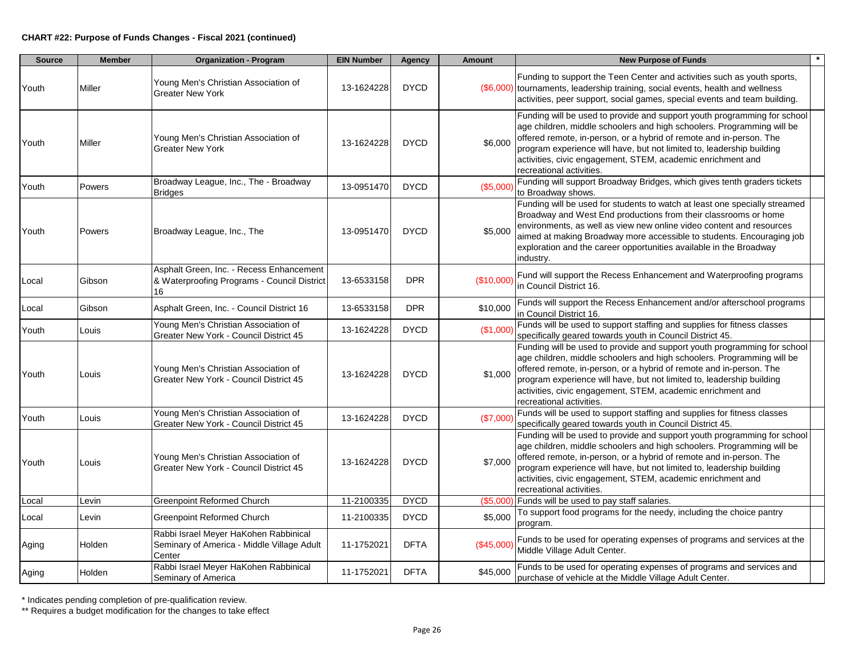| <b>Source</b> | <b>Member</b> | <b>Organization - Program</b>                                                                 | <b>EIN Number</b> | Agency      | <b>Amount</b> | $\ast$<br><b>New Purpose of Funds</b>                                                                                                                                                                                                                                                                                                                                                         |
|---------------|---------------|-----------------------------------------------------------------------------------------------|-------------------|-------------|---------------|-----------------------------------------------------------------------------------------------------------------------------------------------------------------------------------------------------------------------------------------------------------------------------------------------------------------------------------------------------------------------------------------------|
| Youth         | Miller        | Young Men's Christian Association of<br><b>Greater New York</b>                               | 13-1624228        | <b>DYCD</b> |               | Funding to support the Teen Center and activities such as youth sports,<br>(\$6,000) tournaments, leadership training, social events, health and wellness<br>activities, peer support, social games, special events and team building.                                                                                                                                                        |
| Youth         | Miller        | Young Men's Christian Association of<br>Greater New York                                      | 13-1624228        | <b>DYCD</b> | \$6,000       | Funding will be used to provide and support youth programming for school<br>age children, middle schoolers and high schoolers. Programming will be<br>offered remote, in-person, or a hybrid of remote and in-person. The<br>program experience will have, but not limited to, leadership building<br>activities, civic engagement, STEM, academic enrichment and<br>recreational activities. |
| Youth         | Powers        | Broadway League, Inc., The - Broadway<br><b>Bridges</b>                                       | 13-0951470        | <b>DYCD</b> | (\$5,000      | Funding will support Broadway Bridges, which gives tenth graders tickets<br>to Broadway shows.                                                                                                                                                                                                                                                                                                |
| Youth         | Powers        | Broadway League, Inc., The                                                                    | 13-0951470        | <b>DYCD</b> | \$5,000       | Funding will be used for students to watch at least one specially streamed<br>Broadway and West End productions from their classrooms or home<br>environments, as well as view new online video content and resources<br>aimed at making Broadway more accessible to students. Encouraging job<br>exploration and the career opportunities available in the Broadway<br>industry.             |
| Local         | Gibson        | Asphalt Green, Inc. - Recess Enhancement<br>& Waterproofing Programs - Council District<br>16 | 13-6533158        | <b>DPR</b>  | (\$10,000     | Fund will support the Recess Enhancement and Waterproofing programs<br>in Council District 16.                                                                                                                                                                                                                                                                                                |
| Local         | Gibson        | Asphalt Green, Inc. - Council District 16                                                     | 13-6533158        | <b>DPR</b>  | \$10,000      | Funds will support the Recess Enhancement and/or afterschool programs<br>in Council District 16.                                                                                                                                                                                                                                                                                              |
| Youth         | Louis         | Young Men's Christian Association of<br>Greater New York - Council District 45                | 13-1624228        | <b>DYCD</b> | (\$1,000      | Funds will be used to support staffing and supplies for fitness classes<br>specifically geared towards youth in Council District 45.                                                                                                                                                                                                                                                          |
| Youth         | Louis         | Young Men's Christian Association of<br>Greater New York - Council District 45                | 13-1624228        | <b>DYCD</b> | \$1,000       | Funding will be used to provide and support youth programming for school<br>age children, middle schoolers and high schoolers. Programming will be<br>offered remote, in-person, or a hybrid of remote and in-person. The<br>program experience will have, but not limited to, leadership building<br>activities, civic engagement, STEM, academic enrichment and<br>recreational activities. |
| Youth         | Louis         | Young Men's Christian Association of<br>Greater New York - Council District 45                | 13-1624228        | <b>DYCD</b> | (\$7,000      | Funds will be used to support staffing and supplies for fitness classes<br>specifically geared towards youth in Council District 45.                                                                                                                                                                                                                                                          |
| Youth         | Louis         | Young Men's Christian Association of<br>Greater New York - Council District 45                | 13-1624228        | <b>DYCD</b> | \$7,000       | Funding will be used to provide and support youth programming for school<br>age children, middle schoolers and high schoolers. Programming will be<br>offered remote, in-person, or a hybrid of remote and in-person. The<br>program experience will have, but not limited to, leadership building<br>activities, civic engagement, STEM, academic enrichment and<br>recreational activities. |
| Local         | Levin         | <b>Greenpoint Reformed Church</b>                                                             | 11-2100335        | <b>DYCD</b> | (\$5,000      | Funds will be used to pay staff salaries.                                                                                                                                                                                                                                                                                                                                                     |
| Local         | Levin         | Greenpoint Reformed Church                                                                    | 11-2100335        | <b>DYCD</b> | \$5,000       | To support food programs for the needy, including the choice pantry<br>program.                                                                                                                                                                                                                                                                                                               |
| Aging         | Holden        | Rabbi Israel Meyer HaKohen Rabbinical<br>Seminary of America - Middle Village Adult<br>Center | 11-1752021        | <b>DFTA</b> | (\$45,000     | Funds to be used for operating expenses of programs and services at the<br>Middle Village Adult Center.                                                                                                                                                                                                                                                                                       |
| Aging         | Holden        | Rabbi Israel Meyer HaKohen Rabbinical<br>Seminary of America                                  | 11-1752021        | <b>DFTA</b> | \$45,000      | Funds to be used for operating expenses of programs and services and<br>purchase of vehicle at the Middle Village Adult Center.                                                                                                                                                                                                                                                               |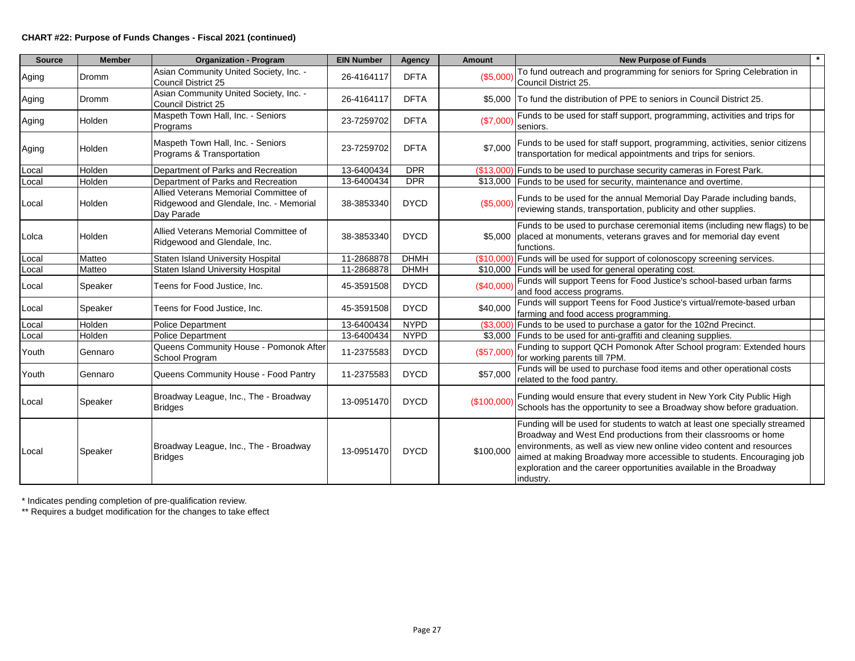#### **CHART #22: Purpose of Funds Changes - Fiscal 2021 (continued)**

| <b>Source</b> | <b>Member</b> | <b>Organization - Program</b>                                                                  | <b>EIN Number</b> | Agency      | <b>Amount</b> | <b>New Purpose of Funds</b>                                                                                                                                                                                                                                                                                                                                                       |
|---------------|---------------|------------------------------------------------------------------------------------------------|-------------------|-------------|---------------|-----------------------------------------------------------------------------------------------------------------------------------------------------------------------------------------------------------------------------------------------------------------------------------------------------------------------------------------------------------------------------------|
| Aging         | Dromm         | Asian Community United Society, Inc. -<br>Council District 25                                  | 26-4164117        | <b>DFTA</b> | (\$5,000)     | To fund outreach and programming for seniors for Spring Celebration in<br>Council District 25.                                                                                                                                                                                                                                                                                    |
| Aging         | Dromm         | Asian Community United Society, Inc. -<br><b>Council District 25</b>                           | 26-4164117        | <b>DFTA</b> |               | \$5,000 To fund the distribution of PPE to seniors in Council District 25.                                                                                                                                                                                                                                                                                                        |
| Aging         | Holden        | Maspeth Town Hall, Inc. - Seniors<br>Programs                                                  | 23-7259702        | <b>DFTA</b> | (\$7,000)     | Funds to be used for staff support, programming, activities and trips for<br>seniors.                                                                                                                                                                                                                                                                                             |
| Aging         | Holden        | Maspeth Town Hall, Inc. - Seniors<br>Programs & Transportation                                 | 23-7259702        | <b>DFTA</b> | \$7,000       | Funds to be used for staff support, programming, activities, senior citizens<br>transportation for medical appointments and trips for seniors.                                                                                                                                                                                                                                    |
| Local         | Holden        | Department of Parks and Recreation                                                             | 13-6400434        | <b>DPR</b>  |               | (\$13,000) Funds to be used to purchase security cameras in Forest Park.                                                                                                                                                                                                                                                                                                          |
| Local         | Holden        | Department of Parks and Recreation                                                             | 13-6400434        | <b>DPR</b>  |               | \$13,000 Funds to be used for security, maintenance and overtime.                                                                                                                                                                                                                                                                                                                 |
| Local         | Holden        | Allied Veterans Memorial Committee of<br>Ridgewood and Glendale, Inc. - Memorial<br>Day Parade | 38-3853340        | <b>DYCD</b> | (\$5,000)     | Funds to be used for the annual Memorial Day Parade including bands,<br>reviewing stands, transportation, publicity and other supplies.                                                                                                                                                                                                                                           |
| Lolca         | Holden        | Allied Veterans Memorial Committee of<br>Ridgewood and Glendale, Inc.                          | 38-3853340        | <b>DYCD</b> |               | Funds to be used to purchase ceremonial items (including new flags) to be<br>\$5,000 placed at monuments, veterans graves and for memorial day event<br>functions.                                                                                                                                                                                                                |
| Local         | Matteo        | <b>Staten Island University Hospital</b>                                                       | 11-2868878        | <b>DHMH</b> |               | (\$10,000) Funds will be used for support of colonoscopy screening services.                                                                                                                                                                                                                                                                                                      |
| Local         | Matteo        | <b>Staten Island University Hospital</b>                                                       | 11-2868878        | <b>DHMH</b> |               | \$10,000 Funds will be used for general operating cost.                                                                                                                                                                                                                                                                                                                           |
| Local         | Speaker       | Teens for Food Justice, Inc.                                                                   | 45-3591508        | <b>DYCD</b> | (\$40,000)    | Funds will support Teens for Food Justice's school-based urban farms<br>and food access programs.                                                                                                                                                                                                                                                                                 |
| Local         | Speaker       | Teens for Food Justice, Inc.                                                                   | 45-3591508        | <b>DYCD</b> | \$40,000      | Funds will support Teens for Food Justice's virtual/remote-based urban<br>farming and food access programming.                                                                                                                                                                                                                                                                    |
| Local         | Holden        | <b>Police Department</b>                                                                       | 13-6400434        | <b>NYPD</b> |               | (\$3,000) Funds to be used to purchase a gator for the 102nd Precinct.                                                                                                                                                                                                                                                                                                            |
| Local         | Holden        | Police Department                                                                              | 13-6400434        | <b>NYPD</b> |               | \$3,000 Funds to be used for anti-graffiti and cleaning supplies.                                                                                                                                                                                                                                                                                                                 |
| Youth         | Gennaro       | Queens Community House - Pomonok After<br>School Program                                       | 11-2375583        | <b>DYCD</b> | (\$57,000     | Funding to support QCH Pomonok After School program: Extended hours<br>for working parents till 7PM.                                                                                                                                                                                                                                                                              |
| Youth         | Gennaro       | Queens Community House - Food Pantry                                                           | 11-2375583        | <b>DYCD</b> | \$57,000      | Funds will be used to purchase food items and other operational costs<br>related to the food pantry.                                                                                                                                                                                                                                                                              |
| Local         | Speaker       | Broadway League, Inc., The - Broadway<br><b>Bridges</b>                                        | 13-0951470        | <b>DYCD</b> | (\$100,000)   | Funding would ensure that every student in New York City Public High<br>Schools has the opportunity to see a Broadway show before graduation.                                                                                                                                                                                                                                     |
| Local         | Speaker       | Broadway League, Inc., The - Broadway<br><b>Bridges</b>                                        | 13-0951470        | <b>DYCD</b> | \$100,000     | Funding will be used for students to watch at least one specially streamed<br>Broadway and West End productions from their classrooms or home<br>environments, as well as view new online video content and resources<br>aimed at making Broadway more accessible to students. Encouraging job<br>exploration and the career opportunities available in the Broadway<br>industry. |

\* Indicates pending completion of pre-qualification review.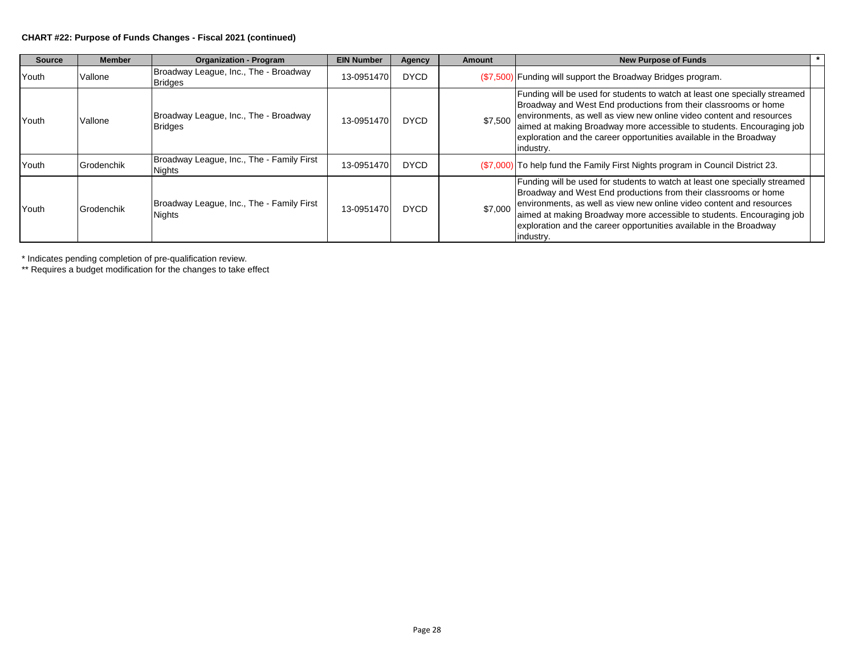#### **CHART #22: Purpose of Funds Changes - Fiscal 2021 (continued)**

| <b>Source</b> | <b>Member</b> | <b>Organization - Program</b>                           | <b>EIN Number</b> | Agency      | <b>Amount</b> | <b>New Purpose of Funds</b>                                                                                                                                                                                                                                                                                                                                                       |
|---------------|---------------|---------------------------------------------------------|-------------------|-------------|---------------|-----------------------------------------------------------------------------------------------------------------------------------------------------------------------------------------------------------------------------------------------------------------------------------------------------------------------------------------------------------------------------------|
| Youth         | Vallone       | Broadway League, Inc., The - Broadway<br><b>Bridges</b> | 13-0951470        | <b>DYCD</b> |               | (\$7,500) Funding will support the Broadway Bridges program.                                                                                                                                                                                                                                                                                                                      |
| Youth         | Vallone       | Broadway League, Inc., The - Broadway<br><b>Bridges</b> | 13-0951470        | <b>DYCD</b> | \$7,500       | Funding will be used for students to watch at least one specially streamed<br>Broadway and West End productions from their classrooms or home<br>environments, as well as view new online video content and resources<br>aimed at making Broadway more accessible to students. Encouraging job<br>exploration and the career opportunities available in the Broadway<br>industry. |
| Youth         | l Grodenchik  | Broadway League, Inc., The - Family First<br>Nights     | 13-0951470        | <b>DYCD</b> |               | (\$7,000) To help fund the Family First Nights program in Council District 23.                                                                                                                                                                                                                                                                                                    |
| Youth         | l Grodenchik  | Broadway League, Inc., The - Family First<br>Nights     | 13-0951470        | <b>DYCD</b> | \$7,000       | Funding will be used for students to watch at least one specially streamed<br>Broadway and West End productions from their classrooms or home<br>environments, as well as view new online video content and resources<br>aimed at making Broadway more accessible to students. Encouraging job<br>exploration and the career opportunities available in the Broadway<br>industry. |

\* Indicates pending completion of pre-qualification review.